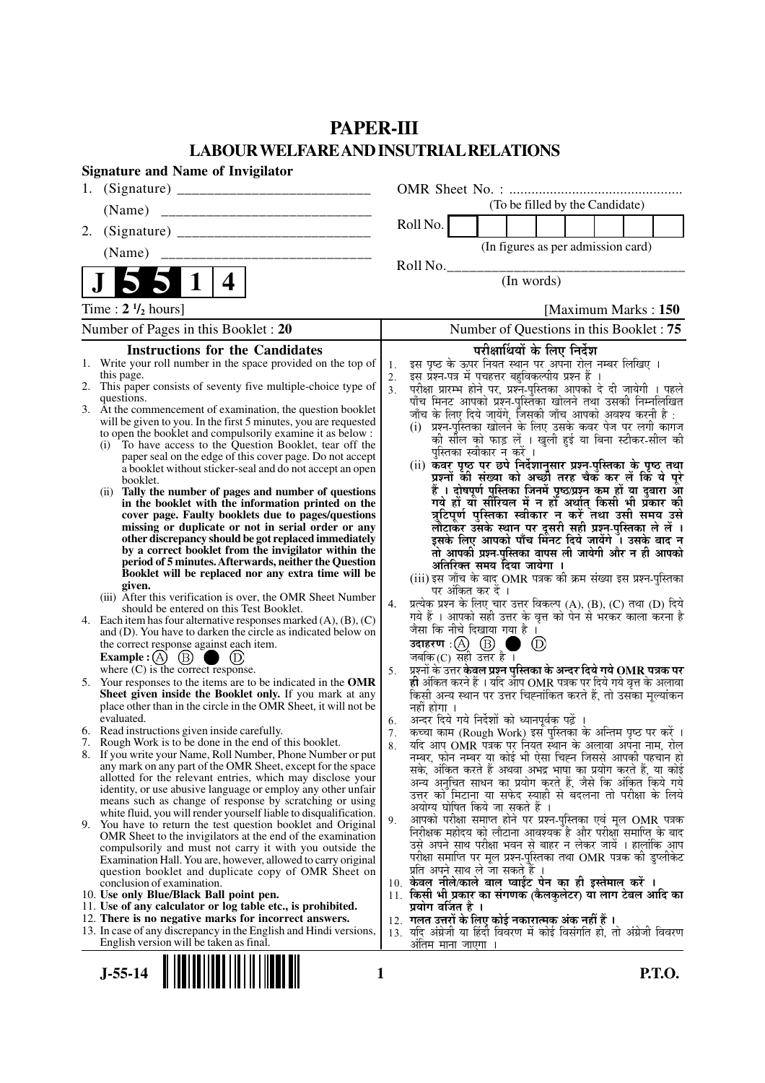# **PAPER-III LABOUR WELFARE AND INSUTRIAL RELATIONS**

|    | <b>Signature and Name of Invigilator</b>                                                                                              |                      |                                                                                                                                     |
|----|---------------------------------------------------------------------------------------------------------------------------------------|----------------------|-------------------------------------------------------------------------------------------------------------------------------------|
|    |                                                                                                                                       |                      |                                                                                                                                     |
|    | (Name)                                                                                                                                |                      | (To be filled by the Candidate)                                                                                                     |
| 2. |                                                                                                                                       |                      | Roll No.                                                                                                                            |
|    | (Name)                                                                                                                                |                      | (In figures as per admission card)                                                                                                  |
|    |                                                                                                                                       |                      | Roll No.                                                                                                                            |
|    | $\mathbf{1}$<br>4                                                                                                                     |                      | (In words)                                                                                                                          |
|    | Time : $2 \frac{1}{2}$ hours]                                                                                                         |                      | [Maximum Marks: 150]                                                                                                                |
|    | Number of Pages in this Booklet : 20                                                                                                  |                      | Number of Questions in this Booklet: 75                                                                                             |
|    | <b>Instructions for the Candidates</b>                                                                                                |                      | परीक्षार्थियों के लिए निर्देश                                                                                                       |
|    | 1. Write your roll number in the space provided on the top of                                                                         | 1.                   | इस पृष्ठ के ऊपर नियत स्थान पर अपना रोल नम्बर लिखिए ।                                                                                |
| 2. | this page.<br>This paper consists of seventy five multiple-choice type of                                                             | 2.<br>3 <sub>1</sub> | इस् प्रश्न-पत्र में पचहत्तर बहुविकल्पीय प्रश्न हैं                                                                                  |
|    | questions.                                                                                                                            |                      | परीक्षा प्रारम्भ होने पर, प्रश्नॅं-पुस्तिका आपको दे दी जायेगी । पहले<br>पाँच मिनट आपको प्रश्नं-पुस्तिका खोलने तथा उसकी निम्नलिखित   |
|    | 3. At the commencement of examination, the question booklet<br>will be given to you. In the first 5 minutes, you are requested        |                      | जाँच के लिए दिये जायेंगे, जिसकी जाँच आपको अवश्य करनी है :                                                                           |
|    | to open the booklet and compulsorily examine it as below :                                                                            |                      | (i) प्रश्न-पुस्तिका खोलने के लिए उसके कवर पेज पर लगी कागज<br>को सील को फाड़ लें । खुली हुई या बिना स्टीकर-सील की                    |
|    | To have access to the Question Booklet, tear off the<br>(i)<br>paper seal on the edge of this cover page. Do not accept               |                      | पुस्तिका स्वीकार न करें ।                                                                                                           |
|    | a booklet without sticker-seal and do not accept an open                                                                              |                      | (ii) कवर पृष्ठ पर छपे निर्देशानुसार प्रश्न-पुस्तिका के पृष्ठ तथा<br>प्रश्नों की संख्या को अच्छी तरह चैक कर लें कि ये पूरे           |
|    | booklet.<br>Tally the number of pages and number of questions<br>(ii)                                                                 |                      | हैं । दोषपूर्ण पुस्तिका जि़नमें पृष्ठ/प्रश्न कम हों या दुबारा आ                                                                     |
|    | in the booklet with the information printed on the                                                                                    |                      | गये हों यो सीरियल में न हों अर्थात् किसी भी प्रैकार की                                                                              |
|    | cover page. Faulty booklets due to pages/questions<br>missing or duplicate or not in serial order or any                              |                      | त्रुटिपूर्ण पुस्तिका स्वीकार न करें तथा उसी समय उसे<br>लौटाकर उसके स्थान पर दूसरी सही प्रश्न-पुस्तिका ले लें ।                      |
|    | other discrepancy should be got replaced immediately                                                                                  |                      | इसके लिए आपको पाँच मिनट दिये जायेंगे ँ। उसके बाद न                                                                                  |
|    | by a correct booklet from the invigilator within the<br>period of 5 minutes. Afterwards, neither the Question                         |                      | तो आपकी प्रश्न-पुस्तिका वापस ली जायेगी और न ही आपको                                                                                 |
|    | Booklet will be replaced nor any extra time will be                                                                                   |                      | अतिरिक्त समय दिया जायेगा ।<br>(iii) इस जाँच के बाद OMR पत्रक की क्रम संख्या इस प्रश्न-पुस्तिका                                      |
|    | given.<br>(iii) After this verification is over, the OMR Sheet Number                                                                 |                      | पर अंकित कर दें ।                                                                                                                   |
|    | should be entered on this Test Booklet.                                                                                               | 4.                   | प्रत्येक प्रश्न के लिए चार उत्तर विकल्प (A), (B), (C) तथा (D) दिये<br>गये हैं । आपको सही उत्तर के वृत्त को पेन से भरकर काला करना है |
| 4. | Each item has four alternative responses marked $(A)$ , $(B)$ , $(C)$<br>and (D). You have to darken the circle as indicated below on |                      | जैसा कि नीचे दिखाया गया है ।                                                                                                        |
|    | the correct response against each item.                                                                                               |                      | $^{\circledR}$<br>a an                                                                                                              |
|    | Example : $(A)$ $(B)$<br>where $(C)$ is the correct response.                                                                         |                      | जबकि (C) सही उत्तर है $\overline{1}$<br>प्रश्नों के उत्तर <b>केवल प्रश्न पुस्तिका के अन्दर दिये गये OMR पत्रक पर</b>                |
|    | 5. Your responses to the items are to be indicated in the OMR                                                                         | 5.                   | ही अंकित करने हैं । यदि आप OMR पत्रक पर दिये गये वृत्त के अलावा                                                                     |
|    | Sheet given inside the Booklet only. If you mark at any                                                                               |                      | किसी अन्य स्थान पर उत्तर चिह्नांकित करते हैं, तो उसका मूल्यांकन                                                                     |
|    | place other than in the circle in the OMR Sheet, it will not be<br>evaluated.                                                         | 6.                   | नहीं होगा ।<br>अन्दर दिये गये निर्देशों को ध्यानपूर्वक पढ़ें ।                                                                      |
|    | 6. Read instructions given inside carefully.                                                                                          | 7.                   | कच्चा काम (Rough Work) इस पुस्तिका के अन्तिम पृष्ठ पर करें ।                                                                        |
|    | 7. Rough Work is to be done in the end of this booklet.<br>8. If you write your Name, Roll Number, Phone Number or put                | 8.                   | यदि आप OMR पत्रक पर नियत स्थान के अलावा अपना नाम, रोल                                                                               |
|    | any mark on any part of the OMR Sheet, except for the space                                                                           |                      | नम्बर, फोन नम्बर या कोई भी ऐसा चिह्न जिससे आपकी पहचान हो<br>सके, अंकित करते हैं अथवा अभद्र भाषा का प्रयोग करते हैं, या कोई          |
|    | allotted for the relevant entries, which may disclose your<br>identity, or use abusive language or employ any other unfair            |                      | अन्य अनुचित साधन का प्रयोग करते हैं, जैसे कि अंकित किये गये                                                                         |
|    | means such as change of response by scratching or using                                                                               |                      | उत्तर को मिटाना या सफेद स्याही से बदलना तो परीक्षा के लिये                                                                          |
|    | white fluid, you will render yourself liable to disqualification.                                                                     | 9.                   | अयोग्य घोषित किये जा सकते हैं ।<br>आपको परीक्षा समाप्त होने पर प्रश्न-पुस्तिका एवं मूल OMR पत्रक                                    |
|    | 9. You have to return the test question booklet and Original<br>OMR Sheet to the invigilators at the end of the examination           |                      | निरीक्षक महोदय को लौटाना आवश्यक है और परीक्षा समाप्ति के बाद                                                                        |
|    | compulsorily and must not carry it with you outside the                                                                               |                      | उसे अपने साथ परीक्षा भवन से बाहर न लेकर जायें । हालांकि आप                                                                          |
|    | Examination Hall. You are, however, allowed to carry original<br>question booklet and duplicate copy of OMR Sheet on                  |                      | परीक्षा समाप्ति पर मूल प्रश्न-पुस्तिका तथा OMR पत्रक की डुप्लीकेट<br>प्रति अपने साथ ले जा सकते है ।                                 |
|    | conclusion of examination.                                                                                                            |                      | 10. केवल नीले/काले बाल प्वाईंट पेन का ही इस्तेमाल करें ।                                                                            |
|    | 10. Use only Blue/Black Ball point pen.<br>11. Use of any calculator or log table etc., is prohibited.                                |                      | 11. किसी भी प्रकार का संगणक (कैलकुलेटर) या लाग टेबल आदि का<br>प्रयोग वर्जित है ।                                                    |
|    | 12. There is no negative marks for incorrect answers.                                                                                 |                      | 12.  गलत उत्तरों के लिए कोई नकारात्मक अंक नहीं हैं ।                                                                                |
|    | 13. In case of any discrepancy in the English and Hindi versions,                                                                     |                      | 13. यदि अंग्रेजी या हिंदी विवरण में कोई विसंगति हो, तो अंग्रेजी विवरण                                                               |
|    | English version will be taken as final.                                                                                               |                      | <u>अंतिम माना जाएगा </u>                                                                                                            |

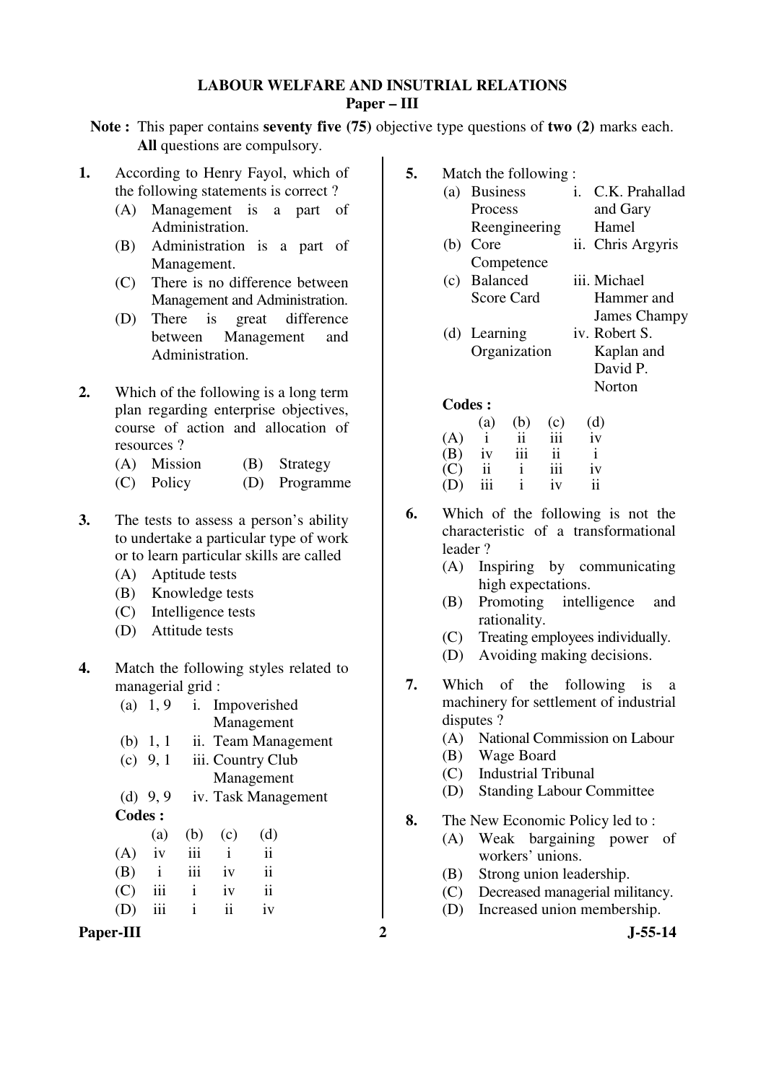# **LABOUR WELFARE AND INSUTRIAL RELATIONS Paper – III**

**Note :** This paper contains **seventy five (75)** objective type questions of **two (2)** marks each. **All** questions are compulsory.

- **1.** According to Henry Fayol, which of the following statements is correct ?
	- (A) Management is a part of Administration.
	- (B) Administration is a part of Management.
	- (C) There is no difference between Management and Administration.
	- (D) There is great difference between Management and Administration.
- **2.** Which of the following is a long term plan regarding enterprise objectives, course of action and allocation of resources ?
	- (A) Mission (B) Strategy
	- (C) Policy (D) Programme
- **3.** The tests to assess a person's ability to undertake a particular type of work or to learn particular skills are called
	- (A) Aptitude tests
	- (B) Knowledge tests
	- (C) Intelligence tests
	- (D) Attitude tests
- **4.** Match the following styles related to managerial grid :

| Paper-III           |              |                     |                     | $\overline{2}$ |           | <b>J-55-14</b>                         |
|---------------------|--------------|---------------------|---------------------|----------------|-----------|----------------------------------------|
| iii<br>(D)          | $\mathbf{1}$ | $\ddot{\mathbf{i}}$ | iv                  |                | (D)       | Increased union membership.            |
| iii<br>(C)          | Ť            | 1V                  | $\mathbf{ii}$       |                | (C)       | Decreased managerial militancy.        |
| (B)<br>$\mathbf{1}$ | iii          | 1V                  | ii                  |                | (B)       | Strong union leadership.               |
| iv<br>(A)           | iii          | $\mathbf{1}$        | $\mathbf{ii}$       |                |           | workers' unions.                       |
| (a)                 | (b)          | (c)                 | (d)                 |                | (A)       | Weak bargaining power of               |
| <b>Codes:</b>       |              |                     |                     | 8.             |           | The New Economic Policy led to:        |
| (d) $9, 9$          |              |                     | iv. Task Management |                | (D)       | <b>Standing Labour Committee</b>       |
|                     |              |                     | Management          |                | (C)       | <b>Industrial Tribunal</b>             |
| (c) $9, 1$          |              |                     | iii. Country Club   |                | (B)       | Wage Board                             |
| (b) $1, 1$          |              |                     | ii. Team Management |                | (A)       | National Commission on Labour          |
|                     |              |                     | Management          |                | disputes? |                                        |
| (a) $1, 9$          | 1.           |                     | Impoverished        |                |           | machinery for settlement of industrial |

- **5.** Match the following : (a) Business Process Reengineering i. C.K. Prahallad and Gary Hamel (b) Core **Competence** ii. Chris Argyris (c) Balanced Score Card iii. Michael Hammer and
	- James Champy (d) Learning Organization iv. Robert S. Kaplan and
		- David P. Norton

|     | (a)           | (b) | (c) | (d) |
|-----|---------------|-----|-----|-----|
| (A) |               | 11  | 111 | iv  |
| (B) | iv            | iii | ii  | i   |
| (C) | $\mathbf{ii}$ |     | 111 | iv  |
| (D) | iii           |     | iv  | ij  |

- **6.** Which of the following is not the characteristic of a transformational leader ?
	- (A) Inspiring by communicating high expectations.
	- (B) Promoting intelligence and rationality.
	- (C) Treating employees individually.
	- (D) Avoiding making decisions.
- **7.** Which of the following is a machinery for settlement of industrial disputes ?
	- (A) National Commission on Labour
	- (B) Wage Board
	- (C) Industrial Tribunal
	- (D) Standing Labour Committee
- **8.** The New Economic Policy led to :
	- (A) Weak bargaining power of workers' unions.
	- (B) Strong union leadership.
	- (C) Decreased managerial militancy.
	- (D) Increased union membership.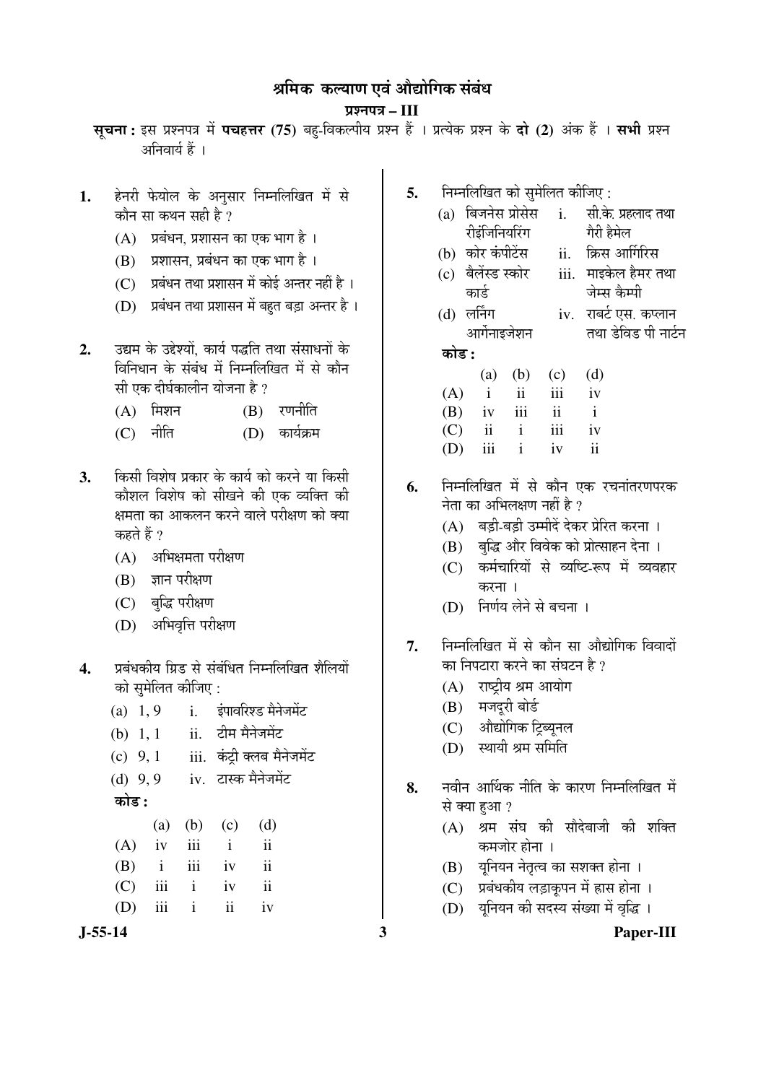# श्रमिक कल्याण एवं औद्योगिक संबंध

## ¯ÖÏ¿®Ö¯Ö¡Ö **– III**

सूचना: इस प्रश्नपत्र में पचहत्तर (75) बहु-विकल्पीय प्रश्न हैं । प्रत्येक प्रश्न के दो (2) अंक हैं । सभी प्रश्न अनिवार्य हैं ।

- 1. हेनरी फेयोल के अनुसार निम्नलिखित में से कौन सा कथन सही है $\overline{?}$ 
	- $(A)$  प्रबंधन, प्रशासन का एक भाग है।
	- $(B)$  प्रशासन, प्रबंधन का एक भाग है ।
	- $(C)$  प्रबंधन तथा प्रशासन में कोई अन्तर नहीं है ।
	- $(D)$  प्रबंधन तथा प्रशासन में बहत बड़ा अन्तर है।
- 2. <u>उद्यम के उद्देश्यों. कार्य पद्धति तथा संसाधनों के</u> <u>विनिधान के संबंध में निम्नलिखित में से कौन</u> सी एक दीर्घकालीन योजना है ?
	- $(A)$  मिशन  $(B)$  रणनीति
	- (C) नीति (D) कार्यक्रम
- 3.  **किसी विशेष प्रकार के कार्य को करने या** किसी कौशल विशेष को सीखने की एक व्यक्ति की <u>क्षमता का आकलन करने वाले परीक्षण को क्या</u> कहते हैं ?
	- $(A)$  अभिक्षमता परीक्षण
	- $(B)$  ज्ञान परीक्षण
	- (C) बुद्धि परीक्षण
	- (D) अभिवृत्ति परीक्षण
- 4. प्रबंधकीय ग्रिड से संबंधित निम्नलिखित शैलियों को समेलित कीजिए :
- $(a)$  1, 9 i.  $\frac{1}{2}$  i  $\frac{1}{2}$ (b)  $1, 1$  ii. टीम मैनेजमेंट  $(c)$  9, 1 iii. कंटी क्लब मैनेजमेंट  $(d)$  9,9 iv. टास्क मैनेजमेंट 󜅐ݟ **:**  (a) (b) (c) (d) (A) iv iii i ii (B) i iii iv ii (C) iii i iv ii  $(D)$  iii i ii iv
- **J-55-14 3 Paper-III**
- **5.** निम्नलिखित को सुमेलित कीजिए :
	- $(a)$  बिजनेस प्रोसेस रीडंजिनियरिंग i. सी के प्रहलाद तथा गेरी हैमेल
	- (b) कोर कंपीटेंस ii. क्रिस आर्गिरिस
	- (c) बैलेंस्ड स्कोर कार्ड iii. माइकेल हैमर तथा जेम्स कैम्पी
	- $(d)$  लर्निंग आर्गेनाइजेशन iv. राबर्ट एस. कप्लान तथा डेविड पी नार्टन

# 󜅐ݟ **:**

|     |          |                 | (a) (b) (c) (d) |              |
|-----|----------|-----------------|-----------------|--------------|
|     |          |                 | $(A)$ i ii iii  | iv           |
|     |          | $(B)$ iv iii ii |                 | $\mathbf{i}$ |
|     | $(C)$ ii | i               | iii             | iv           |
| (D) |          | iii i           | iv              | ii           |

- **6.** निम्नलिखित में से कौन एक रचनांतरणपरक नेता का अभिलक्षण नहीं है  $\overline{v}$ 
	- (A) बड़ी-बड़ी उम्मीदें देकर प्रेरित करना ।
	- (B) बुद्धि और विवेक को प्रोत्साहन देना ।
	- (C) कर्मचारियों से व्यष्टि-रूप में व्यवहार  $\overline{a}$
	- (D) निर्णय लेने से बचना ।
- 7. निम्नलिखित में से कौन सा औद्योगिक विवादों का निपटारा करने का संघटन है ?
	- $(A)$  राष्ट्रीय श्रम आयोग
	- (B) मजदूरी बोर्ड
	- (C) औद्योगिक ट्रिब्यूनल
	- $(D)$  स्थायी श्रम समिति
- **8.** ®Ö¾Öß®Ö †ÖÙ£ÖÛú ®Öß×ŸÖ Ûêú ÛúÖ¸üÞÖ ×®Ö´®Ö×»Ö×ÜÖŸÖ ´Öë से क्या हुआ ?
	- $(A)$  श्रम संघ की सौदेबाजी की शक्ति कमजोर होना ।
	- $(B)$  युनियन नेतृत्व का सशक्त होना ।
	- $(C)$  प्रबंधकीय लड़ाकुपन में ह्रास होना ।
	- (D) यनियन की सदस्य संख्या में वृद्धि ।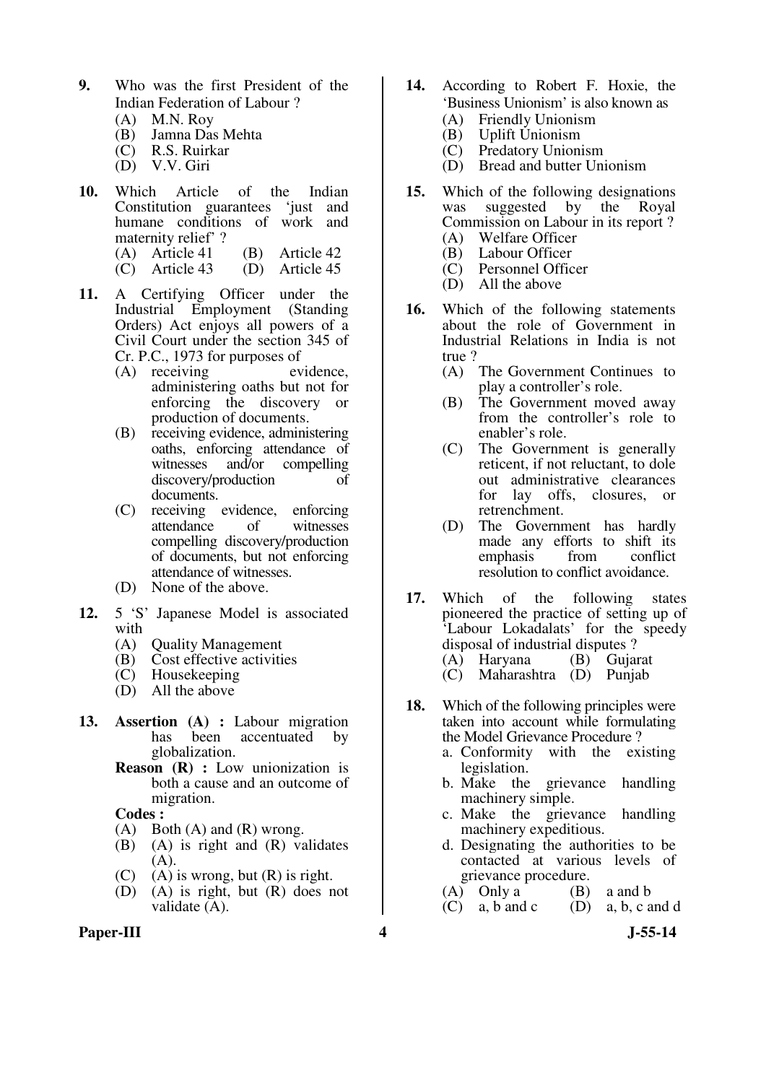- **9.** Who was the first President of the Indian Federation of Labour ?
	- (A) M.N. Roy<br>(B) Jamna Da
	- (B) Jamna Das Mehta
	- R.S. Ruirkar
	- (D) V.V. Giri
- **10.** Which Article of the Indian Constitution guarantees 'just and humane conditions of work and maternity relief' ?
	- (A) Article 41 (B) Article 42<br>(C) Article 43 (D) Article 45
	- $(C)$  Article 43
- **11.** A Certifying Officer under the Industrial Employment (Standing Orders) Act enjoys all powers of a Civil Court under the section 345 of Cr. P.C., 1973 for purposes of<br>(A) receiving evidence.
	- $(A)$  receiving administering oaths but not for enforcing the discovery or production of documents.
	- (B) receiving evidence, administering oaths, enforcing attendance of<br>witnesses and/or compelling compelling discovery/production of documents.
	- (C) receiving evidence, enforcing attendance compelling discovery/production of documents, but not enforcing attendance of witnesses.
	- (D) None of the above.
- **12.** 5 'S' Japanese Model is associated with  $(A)$ 
	- (A) Quality Management<br>(B) Cost effective activiti
	- Cost effective activities
	- (C) Housekeeping
	- (D) All the above
- **13. Assertion (A) :** Labour migration been accentuated by globalization.
	- **Reason (R) :** Low unionization is both a cause and an outcome of migration.

- $(A)$  Both  $(A)$  and  $(R)$  wrong.
- (B) (A) is right and (R) validates  $(A).$
- (C) (A) is wrong, but (R) is right.<br>(D) (A) is right, but (R) does n
- $(A)$  is right, but  $(R)$  does not validate (A).
- **Paper-III 4 J-55-14**
- **14.** According to Robert F. Hoxie, the 'Business Unionism' is also known as
	- (A) Friendly Unionism
	- (B) Uplift Unionism
	- (C) Predatory Unionism
	- (D) Bread and butter Unionism
- **15.** Which of the following designations was suggested by the Royal Commission on Labour in its report ? (A) Welfare Officer
	-
	- (B) Labour Officer<br>(C) Personnel Offic Personnel Officer
	- (D) All the above
- **16.** Which of the following statements about the role of Government in Industrial Relations in India is not true ?<br>(A)
	- The Government Continues to play a controller's role.
	- (B) The Government moved away from the controller's role to enabler's role.
	- (C) The Government is generally reticent, if not reluctant, to dole out administrative clearances<br>for lay offs. closures, or lay offs, closures, or retrenchment.
	- (D) The Government has hardly made any efforts to shift its<br>emphasis from conflict emphasis resolution to conflict avoidance.
- **17.** Which of the following states pioneered the practice of setting up of 'Labour Lokadalats' for the speedy disposal of industrial disputes ? (A) Haryana (B) Gujarat
	- (C) Maharashtra (D) Punjab
- **18.** Which of the following principles were taken into account while formulating the Model Grievance Procedure ?
	- a. Conformity with the existing legislation.
	- b. Make the grievance handling machinery simple.
	- c. Make the grievance handling machinery expeditious.
	- d. Designating the authorities to be contacted at various levels of grievance procedure.<br>
	(B) Only a (B)
	- (A) Only a (B) a and b<br>(C) a, b and c (D) a, b, c a
	- (D) a, b, c and d
		-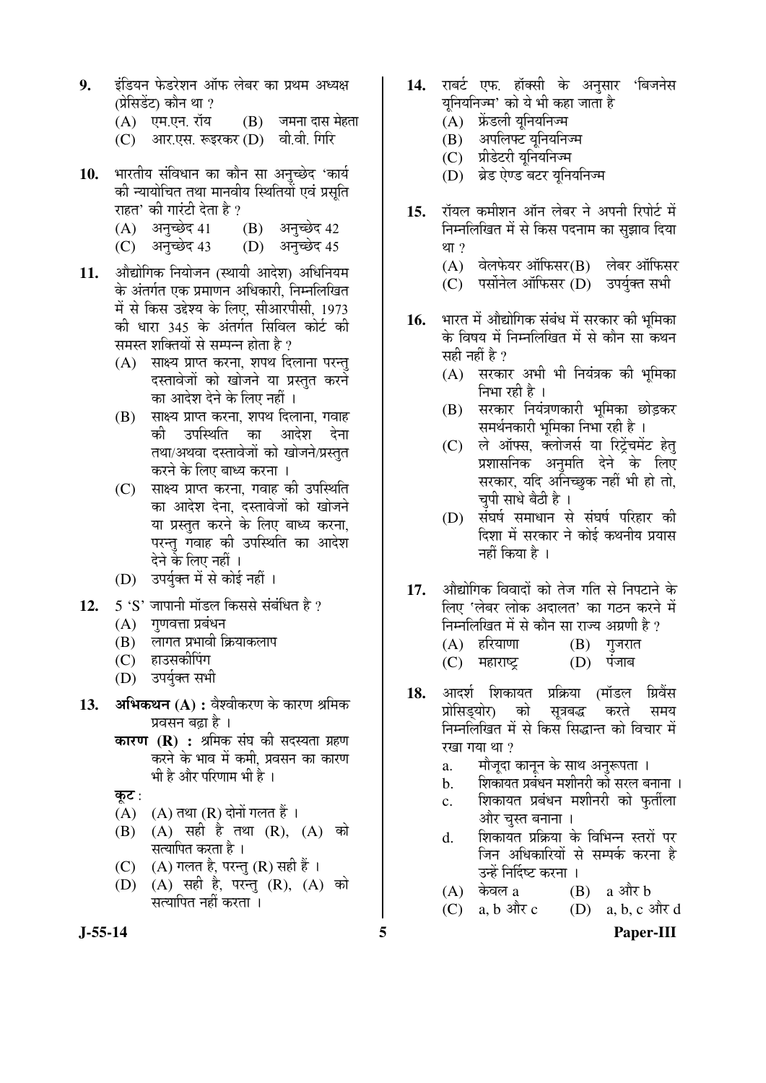- **9.** ‡Ó×›üµÖ®Ö ±êú›ü¸êü¿Ö®Ö †Öò±ú »Öê²Ö¸ü ÛúÖ ¯ÖÏ£Ö´Ö †¬µÖõÖ (प्रेसिडेंट) कौन था ?
	- $(A)$  एम.एन. रॉय  $(B)$  जमना दास मेहता
	- $(C)$  । आर.एस. रूइरकर  $(D)$  । वी.वी. गिरि
- 10. भारतीय संविधान का कौन सा अनुच्छेद 'कार्य को न्यायोचित तथा मानवीय स्थितियों एवं प्रसति राहत' की गारंटी देता है ?
	- $(A)$  अनुच्छेद 41  $(B)$  अनुच्छेद 42
	- (C) अनुच्छेद 43 (D) अनुच्छेद 45
- 11. ओद्योगिक नियोजन (स्थायी आदेश) अधिनियम के अंतर्गत एक प्रमाणन अधिकारी. निम्नलिखित में से किस उद्देश्य के लिए, सीआरपीसी, 1973 की धारा 345 के अंतर्गत सिविल कोर्ट की समस्त शक्तियों से सम्पन्न होता है ?
	- (A) साक्ष्य प्राप्त करना, शपथ दिलाना परन्तु दस्तावेजों को खोजने या प्रस्तुत करने का आदेश देने के लिए नहीं ।
	- (B) साक्ष्य प्राप्त करना, शपथ दिलाना, गवाह की उपस्थिति का आदेश देना तथा/अथवा दस्तावेजों को खोजने/प्रस्तुत करने के लिए बाध्य करना ।
	- (C) साक्ष्य प्राप्त करना, गवाह की उपस्थिति का आदेश देना, दस्तावेजों को खोजने या प्रस्तुत करने के लिए बाध्य करना, परन्त गवाह की उपस्थिति का आदेश देने के लिए नहीं ।
	- (D) उपर्युक्त में से कोई नहीं ।
- 12. 5 'S' जापानी मॉडल किससे संबंधित है ?
	- $(A)$  गणवत्ता प्रबंधन
	- $(B)$  लागत प्रभावी क्रियाकलाप
	- (C) हाउसकीपिंग
	- (D) उपर्युक्त सभी
- 13. **अभिकथन (A) :** वैश्वीकरण के कारण श्रमिक प्रवसन बढा है ।
	- **कारण (R) :** श्रमिक संघ की सदस्यता ग्रहण करने के भाव में कमी, प्रवसन का कारण भी है और परिणाम भी है ।

कुट $:$ 

- $(A)$   $(A)$  तथा  $(R)$  दोनों गलत हैं ।
- (B) (A) सही है तथा (R), (A) को सत्यापित करता है ।
- (C)  $(A)$  गलत है, परन्तु (R) सही हैं।
- (D) (A) सही है, परन्तु (R), (A) को सत्यापित नहीं करता ।
- 14. राबर्ट एफ. हॉक्सी के अनसार 'बिजनेस यनियनिज्म' को ये भी कहा जाता है
	- (A) फ्रेंडली युनियनिज्म
	- $(B)$  अपलिफ्ट यनियनिज्म
	- (C) प्रीडेटरी युनियनिज्म
	- (D) ब्रेड ऐण्ड बटर यनियनिज्म
- 15. रॉयल कमीशन ऑन लेबर ने अपनी रिपोर्ट में निम्नलिखित में से किस पदनाम का सुझाव दिया था $?$ 
	- $(A)$  वेलफेयर ऑफिसर $(B)$  लेबर ऑफिसर
	- (C) पर्सोनेल ऑफिसर (D) उपर्यक्त सभी
- 16. भारत में औद्योगिक संबंध में सरकार की भमिका के विषय में निम्नलिखित में से कौन सा कथन स्रही नहीं है ?
	- $(A)$  सरकार अभी भी नियंत्रक की भूमिका निभा रही है ।
	- (B) सरकार नियंत्रणकारी भमिका छोडकर समर्थनकारी भूमिका निभा रही है ।
	- (C) ले ऑफ्स, क्लोजर्स या रिट्रेंचमेंट हेत् प्रशासनिक अनमति देने के लिए सरकार, यदि अनिच्छुक नहीं भी हो तो, चपी साधे बैठी है ।
	- (D) संघर्ष समाधान से संघर्ष परिहार की दिशा में सरकार ने कोई कथनीय प्रयास नहीं किया है ।
- 17. औद्योगिक विवादों को तेज गति से निपटाने के लिए 'लेबर लोक अदालत' का गठन करने में निम्नलिखित में से कौन सा राज्य अग्रणी है ?  $(A)$  हरियाणा  $(B)$  गुजरात
	- $(C)$  महाराष्ट्र  $(D)$  पंजाब
- **18.** †Ö¤ü¿ÖÔ ×¿ÖÛúÖµÖŸÖ ¯ÖÏ×ÛÎúµÖÖ (´ÖÖò›ü»Ö ×ÝÖϾÖïÃÖ प्रोसिडयोर) को सत्रबद्ध करते समय निम्नलिखित में से किस सिद्धान्त को विचार में रखा गया था ?
	- a. मौजूदा कानून के साथ अनुरूपता ।
	- b. शिकायत प्रबंधन मशीनरी को सरल बनाना ।
	- c. शिकायत प्रबंधन मशीनरी को फुर्तीला और चस्त बनाना ।
	- d. शिकायत प्रक्रिया के विभिन्न स्तरों पर जिन अधिकारियों से सम्पर्क करना है उन्हें निर्दिष्ट करना ।
	- $(A)$  केवल a  $(B)$  a और b
	- $(C)$  a, b  $\frac{d}{dx}c$  (D) a, b, c  $\frac{d}{dx}d$
- **J-55-14 5 Paper-III**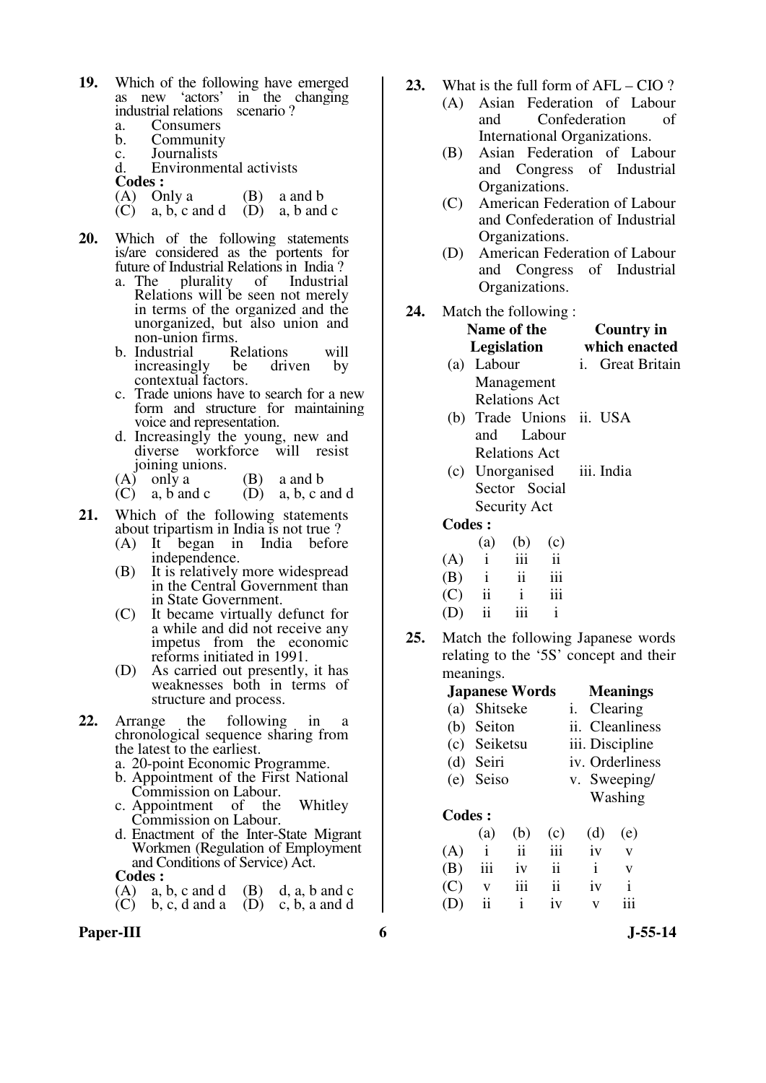- **19.** Which of the following have emerged<br>as new 'actors' in the changing in the changing industrial relations scenario ? a. Consumers
	- b. Community
	-
	- c. Journalists Environmental activists
	-
	- **Codes :**<br>(A) O (A) Only a (B) a and b (C) a, b, c and d (D) a, b and
	- a, b, c and d  $(D)$  a, b and c
- **20.** Which of the following statements is/are considered as the portents for future of Industrial Relations in India?<br>a. The plurality of Industrial
	- plurality Relations will be seen not merely in terms of the organized and the unorganized, but also union and non-union firms.<br>Industrial Relations
	- b. Industrial Relations will<br>increasingly be driven by increasingly be contextual factors.
	- c. Trade unions have to search for a new form and structure for maintaining voice and representation.
	- d. Increasingly the young, new and<br>diverse workforce will resist diverse workforce joining unions.
	- $(A)$  only a (B) a and b
	- $(C)$  a, b and c  $(D)$  a, b, c and d
- **21.** Which of the following statements about tripartism in India is not true ?
	- (A) It began in India before independence.
	- (B) It is relatively more widespread in the Central Government than in State Government.
	- (C) It became virtually defunct for a while and did not receive any impetus from the economic reforms initiated in 1991.
	- (D) As carried out presently, it has weaknesses both in terms of structure and process.
- **22.** Arrange the following in a chronological sequence sharing from the latest to the earliest.
	- a. 20-point Economic Programme.
	- b. Appointment of the First National Commission on Labour.
	- c. Appointment of the Whitley Commission on Labour.
	- d. Enactment of the Inter-State Migrant Workmen (Regulation of Employment and Conditions of Service) Act. **Codes :**
	- (A) a, b, c and d (B) d, a, b and c<br>(C) b, c, d and a (D) c, b, a and d (D) c, b, a and d
- Paper-III 6 **6** J-55-14
- **23.** What is the full form of AFL CIO ?
	- (A) Asian Federation of Labour and Confederation of International Organizations.
	- (B) Asian Federation of Labour and Congress of Industrial Organizations.
	- (C) American Federation of Labour and Confederation of Industrial Organizations.
	- (D) American Federation of Labour and Congress of Industrial Organizations.
- **24.** Match the following :

| <b>Name of the</b>               | <b>Country in</b>       |  |  |  |  |
|----------------------------------|-------------------------|--|--|--|--|
| Legislation                      | which enacted           |  |  |  |  |
| (a) Labour                       | <i>i.</i> Great Britain |  |  |  |  |
| Management                       |                         |  |  |  |  |
| Relations Act                    |                         |  |  |  |  |
| (b) Trade Unions ii. USA         |                         |  |  |  |  |
| and Labour                       |                         |  |  |  |  |
| <b>Relations Act</b>             |                         |  |  |  |  |
| (c) Unorganised iii. India       |                         |  |  |  |  |
| Sector Social                    |                         |  |  |  |  |
| Security Act                     |                         |  |  |  |  |
| <b>Codes:</b>                    |                         |  |  |  |  |
| $(a)$ $(b)$<br>(c)               |                         |  |  |  |  |
| ji<br>iii<br>(A)<br>$\mathbf{i}$ |                         |  |  |  |  |

| (A) |              | 111 | 11  |
|-----|--------------|-----|-----|
| (B) | $\mathbf{i}$ | ii  | 111 |
| (C) | ii           |     | 111 |
| (D) | ij           | 111 |     |

**25.** Match the following Japanese words relating to the '5S' concept and their meanings.

| <b>Japanese Words</b> | <b>Meanings</b>    |
|-----------------------|--------------------|
| (a) Shitseke          | <i>i.</i> Clearing |

- (b) Seiton ii. Cleanliness
- (c) Seiketsu iii. Discipline
- (d) Seiri iv. Orderliness
- (e) Seiso v. Sweeping/
	- Washing
- **Codes :**

|  |  | (a) (b) (c) (d) (e)   |  |
|--|--|-----------------------|--|
|  |  | $(A)$ i ii iii iv v   |  |
|  |  | $(B)$ iii iv ii i v   |  |
|  |  | $(C)$ v iii ii iv i   |  |
|  |  | $(D)$ ii i iv $v$ iii |  |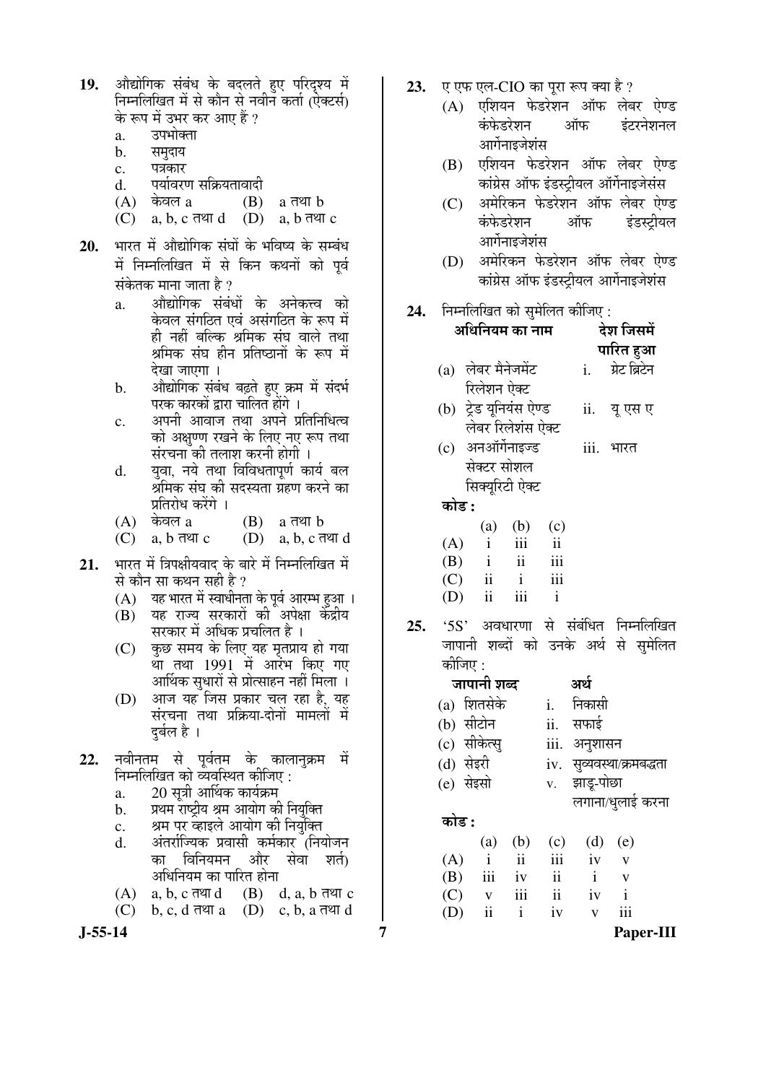- 19. **ओद्योगिक संबंध के बदलते हए परिदृश्य** में निम्नलिखित में से कौन से नवीन कर्ता (ऐक्टर्स) के रूप में उभर कर आए हैं ?<br>a. उपभोक्ता
	- उपभोक्ता
	- b. समुदाय
	- c. पत्रकार
	- d. <sup>पर्या</sup>वरण सक्रियतावादी
	- $(A)$  केवल a  $(B)$  a तथा b
	- $(C)$  a, b, c तथा d  $(D)$  a, b तथा c
- 20. भारत में औद्योगिक संघों के भविष्य के सम्बंध में निम्नलिखित में से किन कथनों को पूर्व संकेतक माना जाता है ?
	- a. औद्योगिक संबंधों के अनेकत्त्व को केवल संगठित एवं असंगठित के रूप में ही नहीं बल्कि श्रमिक संघ वाले तथा श्रमिक संघ हीन प्रतिष्ठानों के रूप में देखा जाएगा ।
	- b. औद्योगिक संबंध बढते हुए क्रम में संदर्भ परक कारकों द्वारा चालित होंगे ।
	- c. अपनी आवाज तथा अपने प्रतिनिधित्व को अक्षुण्ण रखने के लिए नए रूप तथा संरचना की तलाश करनी होगी ।
	- d. यवा, नये तथा विविधतापर्ण कार्य बल <u>श्रमिक संघ की सदस्यता ग्रँहण करने का</u> प्रतिरोध करेंगे ।<br>केवल a
	- $(A)$  केवल a  $(B)$  a तथा b
	- $(C)$  a,  $b \overline{d}$  and  $(C)$  a,  $b$ ,  $c \overline{d}$  and  $d$
- 21. भारत में त्रिपक्षीयवाद के बारे में निम्नलिखित में से कौन सा कथन सही है ?
	- (A) यह भारत में स्वाधीनता के पूर्व आरम्भ हुआ ।<br>(B) यह राज्य सरकारों की अपेक्षा केंद्रीय
	- यह राज्य सरकारों की अपेक्षा केंद्रीय सरकार में अधिक प्रचलित है ।
- (C) कुछ समय के लिए यह मृतप्राय हो गया था तथा 1991 में आरंभ किए गए आर्थिक सुधारों से प्रोत्साहन नहीं मिला ।
	- (D) आज यह जिस प्रकार चल रहा है, यह संरचना तथा प्रक्रिया-दोनों मामलों में दर्बल है ।
- 22. नवीनतम से पूर्वतम के कालानुक्रम में निम्नलिखित को व्यवस्थित कीजिए :
	- a. 20 सत्री आर्थिक कार्यक्रम
	- b. ञ्यथम राष्टीय श्रम आयोग की नियक्ति
	- c. श्रम पर व्हाइले आयोग की नियुक्ति<br>d अंतर्राज्यिक प्रवासी कर्मकार ।निर
	- अंतर्राज्यिक प्रवासी कर्मकार (नियोजन का विनियमन और सेवा शर्त) अधिनियम का पारित होना
	- $(A)$  a, b, c  $\overline{d}$  and  $(B)$  d, a, b  $\overline{d}$  extract c
	- $(C)$  b, c, d  $\overline{d}$  a  $(D)$  c, b, a  $\overline{d}$  ext d
- 
- 23. एएफ एल-CIO का पूरा रूप क्या है ?
	- $(A)$  एशियन फेडरेशन ऑफ लेबर ऐण्ड कंफेडरेशन ऑफ इंटरनेशनल आर्गेनाइजेशंस
	- $(B)$  एशियन फेडरेशन ऑफ लेबर ऐण्ड कांग्रेस ऑफ इंडस्ट्रीयल ऑर्गेनाइजेसंस
	- (C) अमेरिकन फेडरेशन ऑफ लेबर ऐण्ड कंफेडरेशन ऑफ इंडस्टीयल आर्गेनाइजेशंस
	- (D) अमेरिकन फेडरेशन ऑफ लेबर ऐण्ड कांग्रेस ऑफ इंडस्टीयल आर्गेनाइजेशंस
- **24. निम्नलिखित को समेलित कीजिए :**

|     |                        |                     | अधिनियम का नाम                |                         |                           | देश जिसमें    |                                       |
|-----|------------------------|---------------------|-------------------------------|-------------------------|---------------------------|---------------|---------------------------------------|
|     |                        |                     |                               |                         |                           | पारित हुआ     |                                       |
|     | (a) लेबर मैनेजमेंट     |                     |                               |                         | i.                        | ग्रेट ब्रिटेन |                                       |
|     |                        | रिलेशन ऐक्ट         |                               |                         |                           |               |                                       |
|     | (b) ट्रेड यूनियंस ऐण्ड |                     |                               |                         |                           | ii. यूएसए     |                                       |
|     |                        |                     | लेबर रिलेशंस ऐक्ट             |                         |                           |               |                                       |
|     | (c) अनऑर्गेनाइज्ड      |                     |                               |                         |                           | iii. भारत     |                                       |
|     |                        | सेक्टर सोशल         |                               |                         |                           |               |                                       |
|     |                        |                     | सिक्यूरिटी ऐक्ट               |                         |                           |               |                                       |
|     | कोड :                  |                     |                               |                         |                           |               |                                       |
|     |                        |                     | (a) (b) (c)                   |                         |                           |               |                                       |
|     |                        |                     | $(A)$ i iii                   | $\overline{\mathbf{u}}$ |                           |               |                                       |
|     |                        |                     | $(B)$ i ii                    | iii                     |                           |               |                                       |
|     | $(C)$ ii i             |                     |                               | iii                     |                           |               |                                       |
|     | $(D)$ ii               |                     | iii                           | $\mathbf{i}$            |                           |               |                                       |
| 25. |                        |                     |                               |                         |                           |               | '5S' अवधारणा से संबंधित निम्नलिखित    |
|     |                        |                     |                               |                         |                           |               | जापानी शब्दों को उनके अर्थ से सुमेलित |
|     | कीजिए :                |                     |                               |                         |                           |               |                                       |
|     |                        | जापानी शब्द         |                               |                         | अर्थ                      |               |                                       |
|     | (a) शितसेके            |                     |                               |                         | i. निकासी                 |               |                                       |
|     | (b) सीटोन              |                     |                               |                         | ii. सफाई                  |               |                                       |
|     | (c) सीकेत्सु           |                     |                               |                         | iii. अनुशासन              |               |                                       |
|     | (d) सेइरी              |                     |                               |                         | iv. सुव्यवस्था/क्रमबद्धता |               |                                       |
|     | (e) सेइसो              |                     |                               |                         | v. झाडू-पोछा              |               |                                       |
|     |                        |                     |                               |                         | लगाना/धुलाई करना          |               |                                       |
|     | कोड :                  |                     |                               |                         |                           |               |                                       |
|     |                        |                     |                               |                         | (a) (b) (c) (d)           | (e)           |                                       |
|     | (A)                    | $\mathbf{i}$        | $\overrightarrow{\mathbf{i}}$ |                         | iii iv                    | $\mathbf{V}$  |                                       |
|     | $(B)$ iii iv           |                     |                               | ii                      | $\mathbf{i}$              | $\mathbf{V}$  |                                       |
|     | (C)                    | $\mathbf{V}$        | $\rm iii$                     | $\overline{\mathbf{u}}$ | iv                        | $\mathbf{i}$  |                                       |
|     | (D)                    | $\ddot{\mathbf{i}}$ | $\mathbf{i}$                  | iv                      | $\mathbf V$               | iii           |                                       |

**J-55-14 7 Paper-III**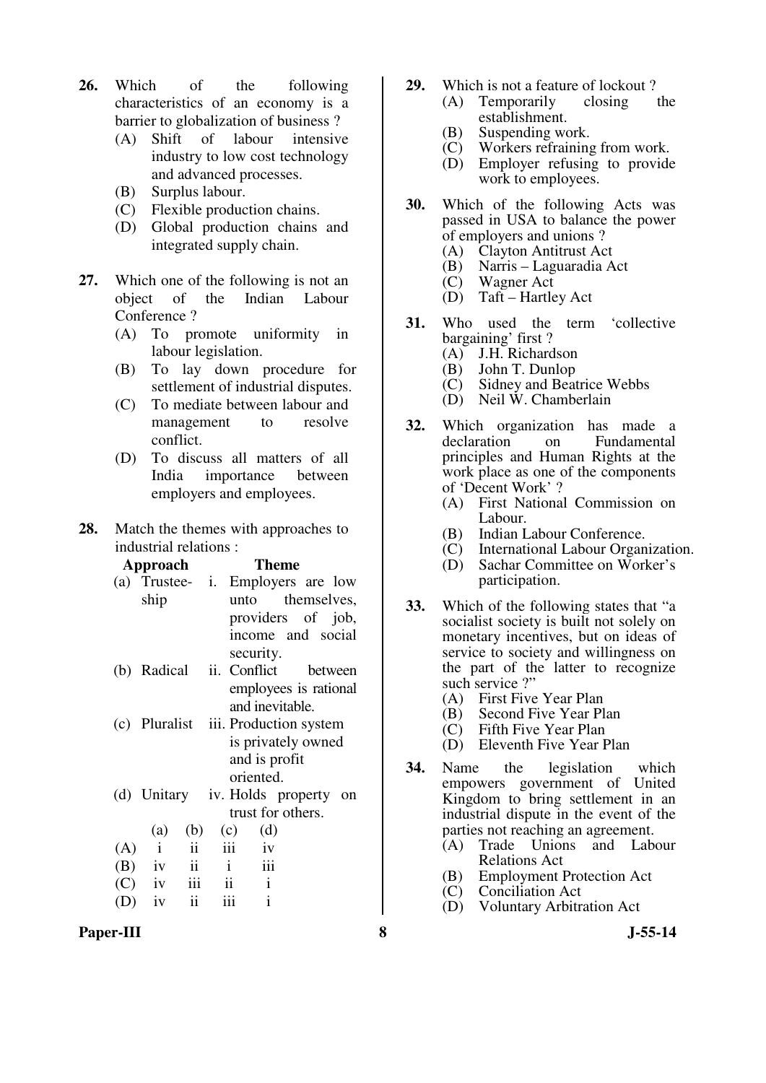- **26.** Which of the following characteristics of an economy is a barrier to globalization of business ?
	- (A) Shift of labour intensive industry to low cost technology and advanced processes.
	- (B) Surplus labour.
	- (C) Flexible production chains.
	- (D) Global production chains and integrated supply chain.
- **27.** Which one of the following is not an object of the Indian Labour Conference ?
	- (A) To promote uniformity in labour legislation.
	- (B) To lay down procedure for settlement of industrial disputes.
	- (C) To mediate between labour and management to resolve conflict.
	- (D) To discuss all matters of all India importance between employers and employees.
- **28.** Match the themes with approaches to industrial relations :

| Approach | Theme             |               |     |                        |                       |         |    |  |
|----------|-------------------|---------------|-----|------------------------|-----------------------|---------|----|--|
|          | $(a)$ Trustee- i. |               |     | Employers are low      |                       |         |    |  |
|          | ship              |               |     |                        | unto themselves,      |         |    |  |
|          |                   |               |     | providers of job,      |                       |         |    |  |
|          |                   |               |     | income and social      |                       |         |    |  |
|          |                   |               |     | security.              |                       |         |    |  |
|          | (b) Radical       |               | ii. | Conflict               |                       | between |    |  |
|          |                   |               |     |                        | employees is rational |         |    |  |
|          |                   |               |     |                        | and inevitable.       |         |    |  |
|          | (c) Pluralist     |               |     | iii. Production system |                       |         |    |  |
|          |                   |               |     | is privately owned     |                       |         |    |  |
|          |                   |               |     |                        | and is profit         |         |    |  |
|          |                   |               |     | oriented.              |                       |         |    |  |
|          | (d) Unitary       |               |     | iv. Holds property     |                       |         | on |  |
|          |                   |               |     |                        | trust for others.     |         |    |  |
|          | (a)               | (b)           |     | (c)                    | (d)                   |         |    |  |
| (A)      | $\mathbf{i}$      | ii            |     | iii                    | iv                    |         |    |  |
| (B)      | iv                | $\mathbf{ii}$ |     | $\mathbf{i}$           | iii                   |         |    |  |
|          | $(C)$ iv          | iii           |     | $\ddot{\mathbf{i}}$    | $\mathbf{i}$          |         |    |  |
|          | iv                | ii            |     |                        | $\mathbf{i}$          |         |    |  |
|          |                   |               |     |                        |                       |         |    |  |

- **29.** Which is not a feature of lockout ?
	- (A) Temporarily closing the establishment.
		- (B) Suspending work.<br>(C) Workers refraining
		- (C) Workers refraining from work.<br>(D) Employer refusing to provide
		- Employer refusing to provide work to employees.
- **30.** Which of the following Acts was passed in USA to balance the power of employers and unions ?
	- (A) Clayton Antitrust Act<br>(B) Narris Laguaradia A
	- (B) Narris Laguaradia Act
	- **Wagner Act**
	- (D) Taft Hartley Act
- **31.** Who used the term 'collective bargaining' first ?<br>(A) J.H. Richard
	- J.H. Richardson
	- (B) John T. Dunlop
	- (C) Sidney and Beatrice Webbs
	- (D) Neil W. Chamberlain
- **32.** Which organization has made a declaration on Fundamental principles and Human Rights at the work place as one of the components of 'Decent Work' ?
	- (A) First National Commission on Labour.
	- (B) Indian Labour Conference.
	- (C) International Labour Organization.
	- (D) Sachar Committee on Worker's participation.
- **33.** Which of the following states that "a socialist society is built not solely on monetary incentives, but on ideas of service to society and willingness on the part of the latter to recognize such service ?"
	- (A) First Five Year Plan
	- (B) Second Five Year Plan
	- (C) Fifth Five Year Plan
	- (D) Eleventh Five Year Plan
- **34.** Name the legislation which empowers government of United Kingdom to bring settlement in an industrial dispute in the event of the parties not reaching an agreement.<br>(A) Trade Unions and Lab
	- Trade Unions and Labour Relations Act
	- (B) Employment Protection Act
	- (C) Conciliation Act
	- (D) Voluntary Arbitration Act

Paper-III 8 **8** J-55-14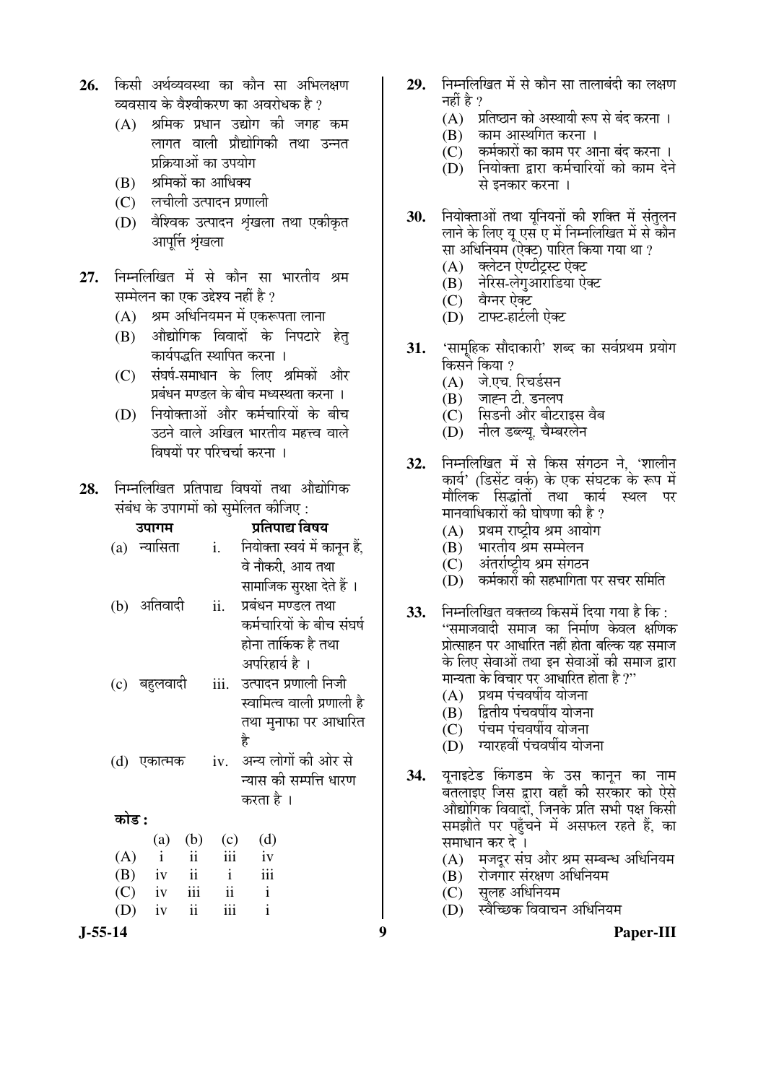- 26. किसी अर्थव्यवस्था का कौन सा अभिलक्षण व्यवसाय के वैश्वीकरण का अवरोधक है ?
	- $(A)$  श्रमिक प्रधान उद्योग की जगह कम लागत वाली प्रौद्योगिकी तथा उन्नत प्रक्रियाओं का उपयोग
	- (B) श्रमिकों का आधिक्य
	- (C) लचीली उत्पादन प्रणाली
	- (D) वैश्विक उत्पादन शृंखला तथा एकीकृत आपत्ति शृंखला
- 27. निम्नलिखित में से कौन सा भारतीय श्रम सम्मेलन का एक उद्देश्य नहीं है  $\overline{v}$ 
	- $(A)$  श्रम अधिनियमन में एकरूपता लाना
	- $(B)$  औद्योगिक विवादों के निपटारे हेत कार्यपद्धति स्थापित करना ।
	- (C) संघर्ष-समाधान के लिए श्रमिकों और प्रबंधन मण्डल के बीच मध्यस्थता करना ।
	- (D) नियोक्ताओं और कर्मचारियों के बीच उठने वाले अखिल भारतीय महत्त्व वाले विषयों पर परिचर्चा करना ।
- 28. निम्नलिखित प्रतिपाद्य विषयों तथा औद्योगिक संबंध के उपागमों को समेलित कीजिए :

|         | उपागम            |            | प्रतिपाद्य विषय                                   |                           |     |     | (A) प्रथम राष्ट्रीय श्रम आयोग                                                          |
|---------|------------------|------------|---------------------------------------------------|---------------------------|-----|-----|----------------------------------------------------------------------------------------|
|         | (a) न्यासिता     |            | i.     नियोक्ता स्वयं में कानून हैं,              |                           |     | (B) | भारतीय श्रम सम्मेलन                                                                    |
|         |                  |            | वे नौकरी, आय तथा                                  |                           |     | (C) | अंतर्राष्ट्रीय श्रम संगठन                                                              |
|         |                  |            | सामाजिक सुरक्षा देते हैं ।                        |                           |     |     | (D) कर्मकारों की सहभागिता पर सचर समिति                                                 |
|         | (b) अतिवादी      | ii.        | प्रबंधन मण्डल तथा                                 | कर्मचारियों के बीच संघर्ष | 33. |     | निम्नलिखित वक्तव्य किसमें दिया गया है कि :                                             |
|         |                  |            | होना तार्किक है तथा                               |                           |     |     | ''समाजवादी समाज का निर्माण केवल क्षणिक<br>प्रोत्साहन पर आधारित नहीं होता बल्कि यह समाज |
|         |                  |            | अपरिहार्य है ।                                    |                           |     |     | के लिए सेवाओं तथा इन सेवाओं की समाज द्वारा                                             |
|         | (c) बहुलवादी     |            | iii. उत्पादन प्रणाली निजी                         |                           |     |     | मान्यता के विचार पर आधारित होता है ?"                                                  |
|         |                  |            |                                                   | स्वामित्व वाली प्रणाली है |     |     | $(A)$ प्रथम पंचवर्षीय योजना                                                            |
|         |                  |            |                                                   | तथा मुनाफा पर आधारित      |     | (B) | द्वितीय पंचवर्षीय योजना                                                                |
|         |                  |            | है                                                |                           |     |     | (C) पंचम पंचवर्षीय योजना                                                               |
|         |                  |            |                                                   |                           |     |     | (D) ग्यारहवीं पंचवर्षीय योजना                                                          |
|         | (d) एकात्मक      |            | iv. अन्य लोगों की ओर से<br>न्यास की सम्पत्ति धारण |                           | 34. |     | यूनाइटेड किंगडम के उस कानून का नाम                                                     |
|         |                  |            |                                                   |                           |     |     | बतलाइए जिस द्वारा वहाँ की सरकार को ऐसे                                                 |
|         |                  |            | करता है ।                                         |                           |     |     | औद्योगिक विवादों, जिनके प्रति सभी पक्ष किसी                                            |
| कोड :   |                  |            |                                                   |                           |     |     | समझौते पर पहुँचने में असफल रहते हैं, का                                                |
|         | $\left(a\right)$ | (b)<br>(c) | (d)                                               |                           |     |     | समाधान कर दे ।                                                                         |
| (A)     | $\mathbf{i}$     | ii iii     | iv                                                |                           |     |     | (A) मजदूर संघ और श्रम सम्बन्ध अधिनियम                                                  |
| (B)     | iv               | $ii$ $i$   | $\overline{\text{iii}}$                           |                           |     | (B) | रोजगार संरक्षण अधिनियम                                                                 |
| (C)     | iv               | iii ii i   |                                                   |                           |     |     | (C) सुलह अधिनियम                                                                       |
| (D)     | ii<br>iv         | iii        | $\mathbf{i}$                                      |                           |     | (D) | स्वैच्छिक विवाचन अधिनियम                                                               |
| J-55-14 |                  |            |                                                   |                           | 9   |     | Paper-III                                                                              |

- **29.** ×®Ö´®Ö×»Ö×ÜÖŸÖ ´Öë ÃÖê ÛúÖî®Ö ÃÖÖ ŸÖÖ»ÖÖ²ÖÓ¤üß ÛúÖ »ÖõÖÞÖ नहीं है ?
	- $(A)$  ग्रतिष्ठान को अस्थायी रूप से बंद करना ।
	- (B) काम आस्थगित करना ।
	- $\overline{C}$ े कर्मकारों का काम पर आना बंद करना ।
	- $\overline{CD}$  नियोक्ता द्वारा कर्मचारियों को काम देने से इनकार करना ।
- **30.** नियोक्ताओं तथा युनियनों की शक्ति में संतुलन लाने के लिए य एस<sup>ँ</sup>ए में निम्नलिखित में से कौन सा अधिनियम (ऐक्ट) पारित किया गया था ?
	- (A) क्लेटन ऐण्टीटस्ट ऐक्ट
	- $(B)$  नेरिस-लेगआरोडिया ऐक्ट
	- (C) वेग्नर ऐक्ट
	- (D) टाफ्ट-हार्टली ऐक्ट
- 31. <u>'</u>सामुहिक सौदाकारी' शब्द का सर्वप्रथम प्रयोग किसने किया ?
	- (A) जे.एच. रिचर्डसन
	- (B) जाह्न टी. डनलप
	- (C) सिडनी और बीटराइस वैब
	- $(D)$  नील डब्ल्य चैम्बरलेन
- **32.** निम्नलिखित में से किस संगठन ने, 'शालीन कार्य' (डिसेंट वर्क) के एक संघटक के रूप में मौलिक सिद्धांतो<sup>ं</sup> तथा कार्य स्थल पर मानवाधिकारों की घोषणा की है ?
	- $(A)$  प्रथम राष्टीय श्रम आयोग
	- (B) भारतीय श्रम सम्मेलन
	- (C) अंतर्राष्ट्रीय श्रम संगठन
	- (D) कर्मकारों की सहभागिता पर सचर समिति
- **33.** निम्नलिखित वक्तव्य किसमें दिया गया है कि : "समाजवादी समाज का निर्माण केवल क्षणिक प्रोत्साहन पर आधारित नहीं होता बल्कि यह समाज के लिए सेवाओं तथा इन सेवाओं की समाज द्वारा मान्यता के विचार पर आधारित होता है ?"
	- $(A)$  प्रथम पंचवर्षीय योजना
	- (B) द्वितीय पंचवर्षीय योजना
	- $(C)$  पंचम पंचवर्षीय योजना
	- $(D)$  ग्यारहवीं पंचवर्षीय योजना
- 34. युनाइटेड किंगडम के उस कानुन का नाम बतलाइए जिस द्वारा वहाँ की सरकार को ऐसे औद्योगिक विवादों. जिनके प्रति सभी पक्ष किसी समझौते पर पहुँचने में असफल रहते हैं. का समाधान कर दे ।
	- (A) मजदुर संघ और श्रम सम्बन्ध अधिनियम
	- $(B)$  रोजगार संरक्षण अधिनियम
	- $(C)$  सुलह अधिनियम<br> $(D)$  स्वैच्छिक विवाच
	- स्वैच्छिक विवाचन अधिनियम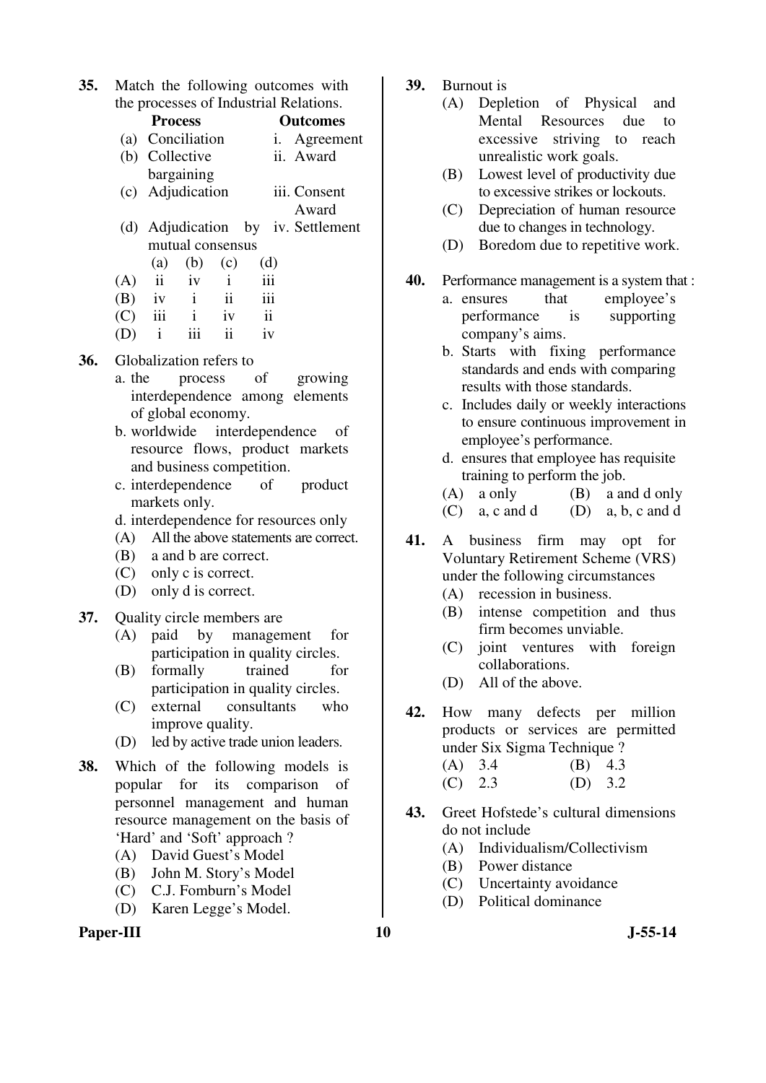**35.** Match the following outcomes with the processes of Industrial Relations.

|     |     | <b>Process</b>          |                         |                         |                         |                                    | <b>Outcomes</b> |  |
|-----|-----|-------------------------|-------------------------|-------------------------|-------------------------|------------------------------------|-----------------|--|
|     |     |                         | (a) Conciliation        |                         |                         |                                    | i. Agreement    |  |
|     |     | (b) Collective          |                         |                         |                         |                                    | ii. Award       |  |
|     |     |                         | bargaining              |                         |                         |                                    |                 |  |
|     |     | (c) Adjudication        |                         |                         |                         | iii. Consent                       |                 |  |
|     |     |                         |                         |                         |                         | Award                              |                 |  |
|     |     |                         |                         |                         |                         | (d) Adjudication by iv. Settlement |                 |  |
|     |     |                         | mutual consensus        |                         |                         |                                    |                 |  |
|     |     | (a)                     | $(b)$ (c)               |                         |                         | (d)                                |                 |  |
|     | (A) | $\overline{\mathbf{i}}$ | $iv$ $i$                |                         |                         | iii                                |                 |  |
|     | (B) |                         | $iv$ $i$ $ii$           |                         |                         | iii                                |                 |  |
|     | (C) |                         | $iii$ $i$ $iv$          |                         | $\overline{\mathbf{u}}$ |                                    |                 |  |
|     | (D) | $\mathbf{i}$            | iii                     | $\overline{\mathbf{u}}$ |                         | iv                                 |                 |  |
| 36. |     |                         | Globalization refers to |                         |                         |                                    |                 |  |

- a. the process of growing interdependence among elements of global economy.
- b. worldwide interdependence of resource flows, product markets and business competition.
- c. interdependence of product markets only.
- d. interdependence for resources only
- (A) All the above statements are correct.
- (B) a and b are correct.
- (C) only c is correct.
- (D) only d is correct.
- **37.** Quality circle members are
	- (A) paid by management for participation in quality circles.
	- (B) formally trained for participation in quality circles.
	- (C) external consultants who improve quality.
	- (D) led by active trade union leaders.
- **38.** Which of the following models is popular for its comparison of personnel management and human resource management on the basis of 'Hard' and 'Soft' approach ?
	- (A) David Guest's Model
	- (B) John M. Story's Model
	- (C) C.J. Fomburn's Model
	- (D) Karen Legge's Model.

## Paper-III **10** J-55-14

- **39.** Burnout is
	- (A) Depletion of Physical and Mental Resources due to excessive striving to reach unrealistic work goals.
	- (B) Lowest level of productivity due to excessive strikes or lockouts.
	- (C) Depreciation of human resource due to changes in technology.
	- (D) Boredom due to repetitive work.
- **40.** Performance management is a system that :
	- a. ensures that employee's performance is supporting company's aims.
	- b. Starts with fixing performance standards and ends with comparing results with those standards.
	- c. Includes daily or weekly interactions to ensure continuous improvement in employee's performance.
	- d. ensures that employee has requisite training to perform the job.
	- (A) a only (B) a and d only
	- $(C)$  a, c and d  $(D)$  a, b, c and d
- **41.** A business firm may opt for Voluntary Retirement Scheme (VRS) under the following circumstances
	- (A) recession in business.
	- (B) intense competition and thus firm becomes unviable.
	- (C) joint ventures with foreign collaborations.
	- (D) All of the above.
- **42.** How many defects per million products or services are permitted under Six Sigma Technique ?

| $(A)$ 3.4 | $(B)$ 4.3 |  |
|-----------|-----------|--|
| $(C)$ 2.3 | (D) $3.2$ |  |

- **43.** Greet Hofstede's cultural dimensions do not include
	- (A) Individualism/Collectivism
	- (B) Power distance
	- (C) Uncertainty avoidance
	- (D) Political dominance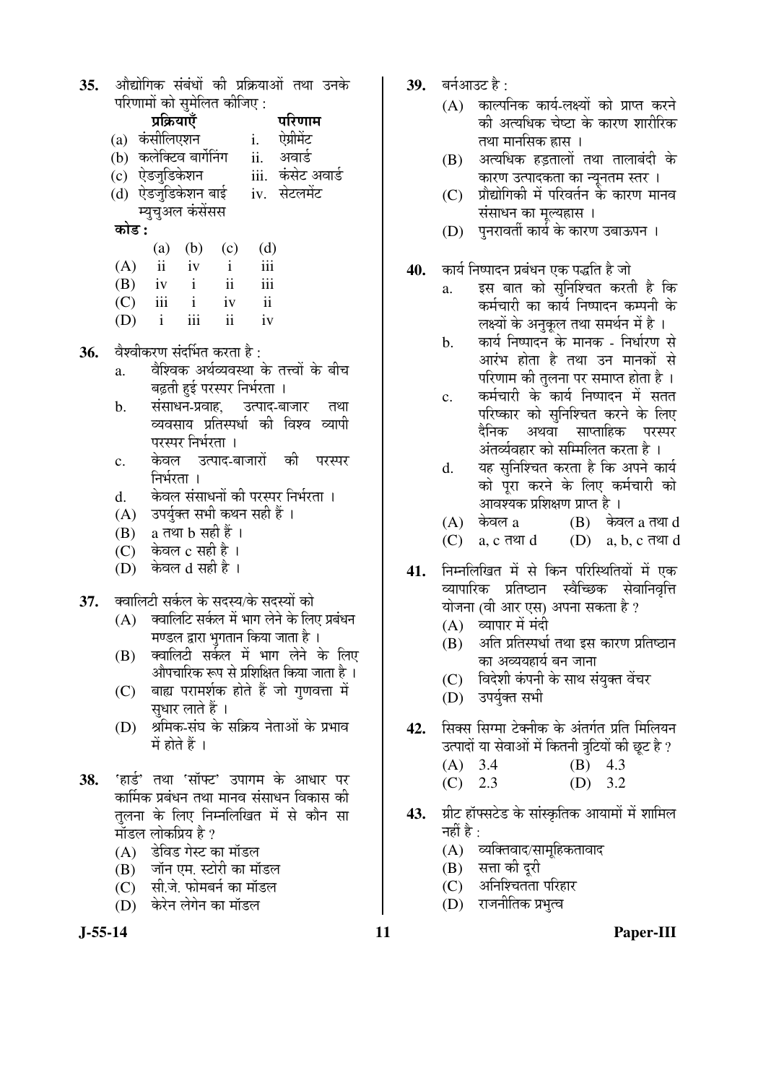35. औद्योगिक संबंधों की प्रक्रियाओं तथा उनके  $\sum_{i=1}^n$ 

| पारणामा का सुमालत कााजए : |                         |              |                |                          |                   |  |  |
|---------------------------|-------------------------|--------------|----------------|--------------------------|-------------------|--|--|
|                           | प्रक्रियाएँ             |              |                |                          | परिणाम            |  |  |
|                           | (a) कंसीलिएशन           |              |                | i.                       | ऐग्रीमेंट         |  |  |
|                           | (b) कलेक्टिव बार्गेनिंग |              |                | ii.                      | अवार्ड            |  |  |
|                           | (c) ऐडजुडिकेशन          |              |                |                          | iii. कंसेट अवार्ड |  |  |
|                           | (d) ऐडजुडिकेशन बाई      |              |                |                          | iv. सेटलमेंट      |  |  |
|                           | म्युचुअल कंसेंसस        |              |                |                          |                   |  |  |
| कोड :                     |                         |              |                |                          |                   |  |  |
|                           | (a)                     | (b)          | (c)            | (d)                      |                   |  |  |
| (A)                       | ii                      | iv           | $\mathbf{i}$   | iii                      |                   |  |  |
|                           | $(B)$ iv                | $\mathbf{i}$ | ii             | iii                      |                   |  |  |
| (C)                       | iii                     | $\mathbf{i}$ | iv             | $\overline{\mathbf{ii}}$ |                   |  |  |
| (D)                       | $\mathbf{i}$            | iii          | $\ddot{\rm n}$ | iv                       |                   |  |  |

- 36. वेश्वीकरण संदर्भित करता है:
	- a. वेश्विक अर्थव्यवस्था के तत्त्वों के बीच बढती हई परस्पर निर्भरता ।
	- b. संसाधन-प्रवाह, उत्पाद-बाजार तथा व्यवसाय प्रतिस्पर्धा की विश्व व्यापी परस्पर निर्भरता ।
	- c. केवल उत्पाद-बाजारों की परस्पर निर्भरता ।
	- d. केवल संसाधनों की परस्पर निर्भरता ।
	- (A) उपर्युक्त सभी कथन सही हैं ।
	- $(B)$  a तथा b सही हैं ।
	- $(C)$  केवल  $c$  सही है।
	- (D) केवल d सही है ।
- 37. **क्वालिटी सर्कल के सदस्य/के सदस्यों** को
	- $(A)$  क्वालिटि सर्कल में भाग लेने के लिए प्रबंधन <u>मण्डल द्वारा भुगतान किया जाता है</u> ।
	- (B) क्वालिटी सर्कल में भाग लेने के लिए औपचारिक रूप से प्रशिक्षित किया जाता है ।
	- (C) बाह्य परामर्शक होते हैं जो गुणवत्ता में सुधार लाते हैं ।
	- (D) श्रमिक-संघ के सक्रिय नेताओं के प्रभाव  $\vec{H}$  होते हैं ।
- 38. Fination Tell Telling Telling in Telling Telling Telling Telling Tel कार्मिक प्रबंधन तथा मानव संसाधन विकास की तलना के लिए निम्नलिखित में से कौन सा मॉडल लोकप्रिय है ?
	- (A) डेविड गेस्ट का मॉडल
	- (B) जॉन एम. स्टोरी का मॉडल
	- (C) सी.जे. फोमबर्न का मॉडल
	- (D) केरेन लेगेन का मॉडल
- 
- 39. **बर्नआउट** है:
	- (A) काल्पनिक कार्य-लक्ष्यों को प्राप्त करने की अत्यधिक चेष्टा के कारण शारीरिक तथा मानसिक ह्रास ।
	- (B) अत्यधिक हड़तालों तथा तालाबंदी के कारण उत्पादकता का न्यूनतम स्तर ।
	- $(C)$  प्रौद्योगिकी में परिवर्तन के कारण मानव संसाधन का मूल्यहास ।
	- (D) पुनरावर्ती कार्य के कारण उबाऊपन**।**
- 40. कार्य निष्पादन प्रबंधन एक पद्धति है जो
	- a. इस बात को सुनिश्चित करती है कि कर्मचारी का कार्य निष्पादन कम्पनी के लक्ष्यों के अनुकूल तथा समर्थन में है<sup>।</sup>
	- b. कार्य निष्पादन के मानक निर्धारण से आरंभ होता है तथा उन मानकों से परिणाम की तुलना पर समाप्त होता है ।
	- c. कर्मचारी के कार्य निष्पादन में सतत परिष्कार को सुनिश्चित करने के लिए दैनिक अथवा साप्ताहिक परस्पर अंतर्व्यवहार को सम्मिलित करता है ।
	- d. यह सुनिश्चित करता है कि अपने कार्य को परा करने के लिए कर्मचारी को आवश्यक प्रशिक्षण प्राप्त है ।
	- $(A)$  केवल a  $(B)$  केवल a तथा d
	- $(C)$  a, c तथा d  $(D)$  a, b, c तथा d
- 41. निम्नलिखित में से किन परिस्थितियों में एक व्यापारिक प्रतिष्ठान स्वैच्छिक सेवानिवृत्ति योजना (वी आर एस) अपना सकता है ?
	- $(A)$  व्यापार में मंदी
	- $(B)$  अति प्रतिस्पर्धा तथा इस कारण प्रतिष्ठान का अव्ययहार्य बन जाना
	- (C) विदेशी कंपनी के साथ संयुक्त वेंचर
	- (D) उपर्यक्त सभी
- 42. सिक्स सिग्मा टेक्नीक के अंतर्गत प्रति मिलियन उत्पादों या सेवाओं में कितनी त्रूटियों की छूट है ?
	- (A) 3.4 (B) 4.3 (C) 2.3 (D) 3.2
- 43. प्रीट हॉफ्सटेड के सांस्कृतिक आयामों में शामिल नहीं है $\cdot$ 
	- $(A)$  व्यक्तिवाद/सामूहिकतावाद
	- $(B)$  सत्ता की दुरी
	- (C) अनिश्चितता परिहार
	- (D) राजनीतिक प्रभुत्व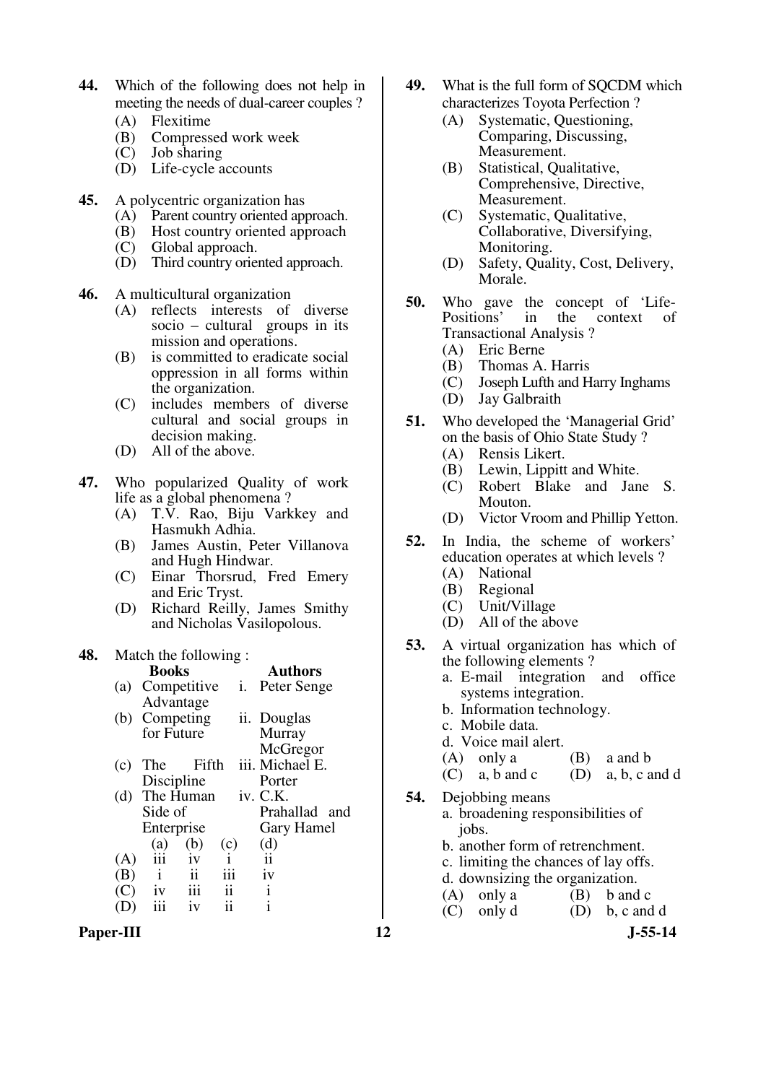- **44.** Which of the following does not help in meeting the needs of dual-career couples ?
	- (A) Flexitime<br>(B) Compress
	- Compressed work week
	- (C) Job sharing
	- (D) Life-cycle accounts
- **45.** A polycentric organization has
	- (A) Parent country oriented approach.
	- (B) Host country oriented approach<br>(C) Global approach.
	- Global approach.
	- (D) Third country oriented approach.
- **46.** A multicultural organization
	- (A) reflects interests of diverse socio – cultural groups in its mission and operations.
	- (B) is committed to eradicate social oppression in all forms within the organization.
	- (C) includes members of diverse cultural and social groups in decision making.
	- (D) All of the above.
- **47.** Who popularized Quality of work life as a global phenomena ?
	- (A) T.V. Rao, Biju Varkkey and Hasmukh Adhia.
	- (B) James Austin, Peter Villanova and Hugh Hindwar.
	- (C) Einar Thorsrud, Fred Emery and Eric Tryst.
	- (D) Richard Reilly, James Smithy and Nicholas Vasilopolous.

#### **48.** Match the following :

|     | <b>Books</b>                             |                           | <b>Authors</b>  |
|-----|------------------------------------------|---------------------------|-----------------|
|     | (a) Competitive                          | $\overline{\mathbf{1}}$ . | Peter Senge     |
|     | Advantage                                |                           |                 |
|     | (b) Competing                            |                           | ii. Douglas     |
|     | for Future                               |                           | Murray          |
|     |                                          |                           | McGregor        |
| (c) | Fifth<br>The                             |                           | iii. Michael E. |
|     | Discipline                               |                           | Porter          |
| (d) | The Human iv. C.K.                       |                           |                 |
|     | Side of                                  |                           | Prahallad and   |
|     | Enterprise                               |                           | Gary Hamel      |
|     | (b)<br>(a)                               | (c)                       | (d)             |
| (A) | iii<br>iv                                | $\mathbf{i}$              | $\mathbf{ii}$   |
| (B) | $\overline{\mathbf{ii}}$<br>$\mathbf{i}$ | iii                       | iv              |
| (C) | iii<br>1V                                | ii                        | i               |
|     | iii<br>1V                                | 11                        | i               |
|     |                                          |                           |                 |

Paper-III **12** J-55-14

- 49. What is the full form of SOCDM which characterizes Toyota Perfection ?
	- (A) Systematic, Questioning, Comparing, Discussing, Measurement.
	- (B) Statistical, Qualitative, Comprehensive, Directive, Measurement.
	- (C) Systematic, Qualitative, Collaborative, Diversifying, Monitoring.
	- (D) Safety, Quality, Cost, Delivery, Morale.
- **50.** Who gave the concept of 'Life-<br>Positions' in the context of the context Transactional Analysis ?
	- (A) Eric Berne
	- (B) Thomas A. Harris
	- (C) Joseph Lufth and Harry Inghams
	- (D) Jay Galbraith
- **51.** Who developed the 'Managerial Grid' on the basis of Ohio State Study ?
	- (A) Rensis Likert.
	- (B) Lewin, Lippitt and White.
	- (C) Robert Blake and Jane S. Mouton.
	- (D) Victor Vroom and Phillip Yetton.
- **52.** In India, the scheme of workers' education operates at which levels ?
	- (A) National
	- (B) Regional
	- (C) Unit/Village
	- (D) All of the above
- **53.** A virtual organization has which of the following elements ?
	- a. E-mail integration and office systems integration.
	- b. Information technology.
	- c. Mobile data.
	- d. Voice mail alert.
	- (A) only a (B) a and b<br>(C) a, b and c (D) a, b, c a
	- $(D)$  a, b, c and d
- **54.** Dejobbing means
	- a. broadening responsibilities of jobs. b. another form of retrenchment. c. limiting the chances of lay offs.
	- d. downsizing the organization.
	- (A) only a  $(B)$  b and c

 $(C)$  only  $d$   $(D)$  b, c and d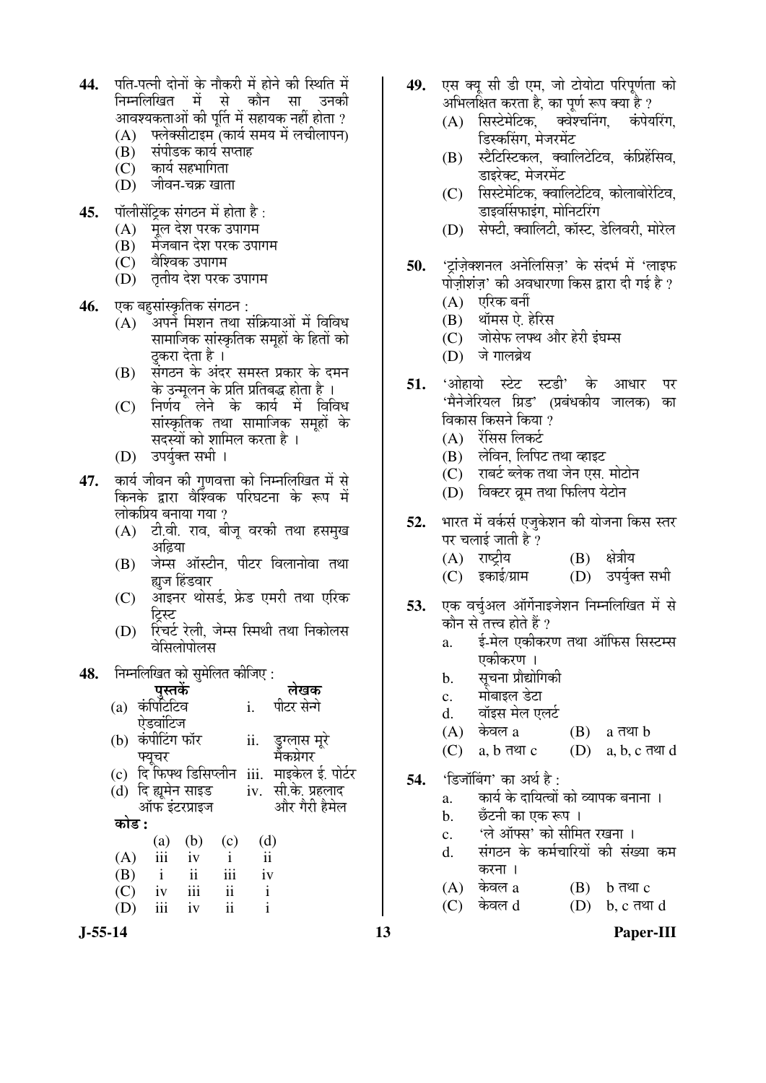- 44. पति-पत्नी दोनों के नौकरी में होने की स्थिति में निम्नलिखित में से कौन सा उनक<u>ी</u> आवश्यकताओं की पूर्ति में सहायक नहीं होता ?<br>(A) फ्लेक्सीटाइम (कार्य समय में लचीलापन)
	- णलेक्सीटाइम<sup>ॅ</sup>(कार्य समय में लचीलापन)
	- $\overline{B}$ ) संपीडक कार्य सप्ताह<br>(C) कार्य सहभागिता
	- कार्य सहभागिता (D) जीवन-चक्र खाता
- 45. पॉलीसेंटिक संगठन में होता है :
	-
	- (A) पूल देश परक उपागम<br>(B) मेजबान देश परक उपा (B) मेंजबान देश परक उपागम<br>(C) वैश्विक उपागम
	- वेश्विक उपागम
	- (D) तृतीय देश परक उपागम
- **46.** एक बहुसांस्कृतिक संगठन :<br>(A) अपने मिशन तथा र
	- ँअपने मिशन तथा संक्रियाओं में विविध सामाजिक सांस्कृतिक समूहों के हितों को <u>ठ</u>करा देता है ।
	- (B) संगठन के अंदर समस्त प्रकार के दमन के उन्मलन के प्रति प्रतिबद्ध होता है ।
	- (C) निर्णय लेने के कार्य में विविध सांस्कृतिक तथा सामाजिक समहों के सदस्यों को शामिल करता है ।
	- (D) उपर्युक्त सभी ।
- 47. कार्य जीवन की गुणवत्ता को निम्नलिखित में से किनके द्वारा वैश्विंवक परिघटना के रूप में लोकप्रिय बनाया गया ?
	- (A) टी.वी. राव, बीज वरकी तथा हसम्ख अढिया
	- (B) जेम्स ऑस्टीन, पीटर विलानोवा तथा ह्यज हिंडवार
	- (C) आइनर थोसर्ड, फ्रेड एमरी तथा एरिक टिस्ट
	- (D) रिचर्ट रेली, जेम्स स्मिथी तथा निकोलस वेसिलोपोलस

## 48. निम्नलिखित को समेलित कीजिए :

|       |                              |                         |                           |                | लेखक                      |
|-------|------------------------------|-------------------------|---------------------------|----------------|---------------------------|
| (a)   | <b>पुस्तकें</b><br>कंपिटिटिव |                         |                           | $\mathbf{i}$ . | पीटर सेनो                 |
|       | ऐडवांटिज                     |                         |                           |                |                           |
| (b)   | कंपीटिंग फॉर                 |                         |                           | ii.            | डुग्लास मूरे<br>मैकग्रेगर |
|       | फ्यचर                        |                         |                           |                |                           |
|       | (c) दि फिफ्थ डिसिप्लीन       |                         |                           |                | iii. माइकेल ई. पोर्टर     |
|       | (d) दि ह्यूमेन साइड          |                         |                           |                | iv. सी.के. प्रहलाद        |
|       | ऑफ इंटरप्राइज                |                         |                           |                | और गैरी हैमेल             |
| कोड : |                              |                         |                           |                |                           |
|       | $\frac{a}{i}$                | (b)                     | (c)                       | (d)            |                           |
| (A)   |                              | iv                      | $\mathbf{i}$              | ii             |                           |
| (B)   | $\mathbf{i}$                 | $\overline{\mathbf{u}}$ | $\overline{\mathbf{iii}}$ | iv             |                           |
| (C)   | iv                           | iii                     | $\ddot{\rm n}$            | $\mathbf{i}$   |                           |
|       | iii                          | iv                      | $\ddot{\mathbf{i}}$       | $\mathbf{i}$   |                           |

- 49. एस क्य सी डी एम. जो टोयोटा परिपर्णता को अभिलक्षित करता है, का पूर्ण रूप क्या है ?<br>(A) सिस्टेमेटिक. क्वेश्चनिंग. कंपेयरिंग.
	- (A) सिस्टेमेटिक, डिस्कसिंग, मेजरमेंट
	- $(B)$  स्टैटिस्टिकल, क्वालिटेटिव, कंप्रिहेंसिव, डाइरेक्ट, मेजरमेंट
	- $(C)$  सिस्टेमेटिक क्वालिटेटिव कोलाबोरेटिव, डाइवर्सिफाइंग, मोनिटरिंग
	- (D) सेफ्टी, क्वालिटी, कॉस्ट, डेलिवरी, मोरेल
- 50. <u>'टांजेक्शनल अनेलिसिज' के संदर्भ में 'लाइफ</u> पोजीशंज' की अवधारणा किस द्वारा दी गई है ?
	- $(A)$  एरिक बर्नी
	- (B) थॉमस ऐ. हेरिस
	- (C) जोसेफ लफ्थ और हेरी इंघम्स
	- (D) जे गालब्रेथ
- 51. 'ओहायो स्टेट स्टडी' के आधार पर 'मैनेजेरियल ग्रिड' (प्रबंधकीय जालक) का विकास किसने किया ?
	- $(A)$  रेंसिस लिकर्ट
	- (B) लेविन, लिपिट तथा व्हाइट
	- (C) राबर्ट ब्लेक तथा जेन एस. मोटोन
	- (D) विक्टर व्रम तथा फिलिप येटोन
- **52.** भारत में वर्कर्स एजुकेशन की योजना किस स्तर पर चलाई जाती है ?
	- (A) राष्ट्रीय (B) क्षेत्रीय
	- (C) इकाई/ग्राम (D) उपर्युक्त सभी
- **53.** एक वर्चुअल ऑर्गेनाइजेशन निम्नलिखित में से कौन से तत्त्व होते हैं ?
	- a. ई-मेल एकीकरण तथा ऑफिस सिस्टम्स एकीकरण ।
	- b. सचना प्रौद्योगिकी
	- c. ` मोबाइल डेटा
	- d. वॉइस मेल एलर्ट<br>(A) केवल a
	- $(A)$  केवल a  $(B)$  a तथा b
	- $(C)$  a,  $b \overline{d}$  and  $(C)$  a,  $b, c \overline{d}$  and
- **54.** 'डिजॉबिंग' का अर्थ है:
	- a. कार्य के दायित्वों को व्यापक बनाना ।
	- b. छँटनी का एक रूप ।
	- c. 'ले ऑफ्स' को सीमित रखना ।
	- d. संगठन के कर्मचारियों की संख्या कम  $\overline{a}$
	- $(A)$  केवल a  $(B)$  b तथा c
	- $(C)$  केवल  $d$   $(D)$  b,  $c$  तथा  $d$

**J-55-14 13 Paper-III**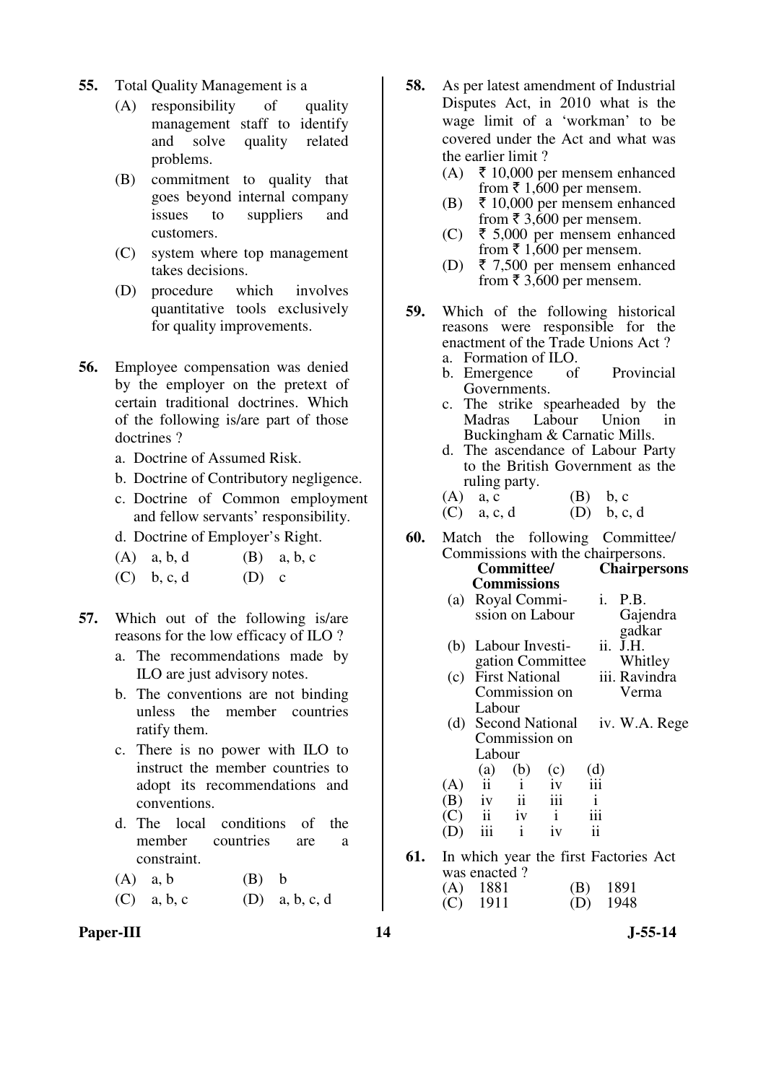- **55.** Total Quality Management is a
	- (A) responsibility of quality management staff to identify and solve quality related problems.
	- (B) commitment to quality that goes beyond internal company issues to suppliers and customers.
	- (C) system where top management takes decisions.
	- (D) procedure which involves quantitative tools exclusively for quality improvements.
- **56.** Employee compensation was denied by the employer on the pretext of certain traditional doctrines. Which of the following is/are part of those doctrines ?
	- a. Doctrine of Assumed Risk.
	- b. Doctrine of Contributory negligence.
	- c. Doctrine of Common employment and fellow servants' responsibility.
	- d. Doctrine of Employer's Right.
	- $(A)$  a, b, d  $(B)$  a, b, c
	- (C) b, c, d  $(D)$  c
- **57.** Which out of the following is/are reasons for the low efficacy of ILO ?
	- a. The recommendations made by ILO are just advisory notes.
	- b. The conventions are not binding unless the member countries ratify them.
	- c. There is no power with ILO to instruct the member countries to adopt its recommendations and conventions.
	- d. The local conditions of the member countries are a constraint.
	- $(A)$  a, b  $(B)$  b
	- (C) a, b, c (D) a, b, c, d
- **58.** As per latest amendment of Industrial Disputes Act, in 2010 what is the wage limit of a 'workman' to be covered under the Act and what was the earlier limit ?
	- (A)  $\bar{\tau}$  10,000 per mensem enhanced from  $\bar{x}$  1,600 per mensem.
	- (B)  $\bar{\tau}$  10,000 per mensem enhanced from  $\bar{\tau}$  3,600 per mensem.
	- (C) ₹ 5,000 per mensem enhanced from  $\bar{\bar{\xi}}$  1,600 per mensem.
	- (D) ₹ 7,500 per mensem enhanced from  $\bar{\bar{\xi}}$  3,600 per mensem.
- **59.** Which of the following historical reasons were responsible for the enactment of the Trade Unions Act ?
	- a. Formation of ILO. b. Emergence of Provincial Governments.
	- c. The strike spearheaded by the Labour Buckingham & Carnatic Mills.
	- d. The ascendance of Labour Party to the British Government as the ruling party.
	- (A)  $a, c$  (B)  $b, c$  (C)  $a, c, d$  (D)  $b, c, d$  $(C)$  a, c, d
- **60.** Match the following Committee/ Commissions with the chairpersons.

|     |     |              | <b>Committee/</b>                   |                     |               | <b>Chairpersons</b>                   |
|-----|-----|--------------|-------------------------------------|---------------------|---------------|---------------------------------------|
|     |     |              | <b>Commissions</b>                  |                     |               |                                       |
|     |     |              | (a) Royal Commi-                    |                     |               | i. P.B.                               |
|     |     |              |                                     | ssion on Labour     |               | Gajendra                              |
|     |     |              |                                     |                     |               | gadkar                                |
|     |     |              | (b) Labour Investi-                 |                     | ii.           | J.H.                                  |
|     |     |              |                                     | gation Committee    |               | Whitley                               |
|     |     |              |                                     |                     |               | (c) First National iii. Ravindra      |
|     |     |              |                                     | Commission on       |               | Verma                                 |
|     |     | Labour       |                                     |                     |               |                                       |
|     |     |              |                                     | (d) Second National |               | iv. W.A. Rege                         |
|     |     |              |                                     | Commission on       |               |                                       |
|     |     | Labour       |                                     |                     |               |                                       |
|     |     | (a)          | (b)                                 | (c)                 | $\frac{d}{d}$ |                                       |
|     | (A) |              | $ii \quad i$                        | iv                  |               |                                       |
|     | (B) |              | $\overline{1}$ iv $\overline{1}$ ii | iii                 | $\,$ i        |                                       |
|     |     |              | $\overrightarrow{C}$ ii iv i        |                     | iii           |                                       |
|     | (D) | iii          | $\mathbf{i}$                        | iv                  | $\mathbf{ii}$ |                                       |
| 61. |     |              |                                     |                     |               | In which year the first Factories Act |
|     |     | was enacted? |                                     |                     |               |                                       |
|     |     |              |                                     |                     |               |                                       |

 (A) 1881 (B) 1891 (C) 1911 (D) 1948

Paper-III **14** J-55-14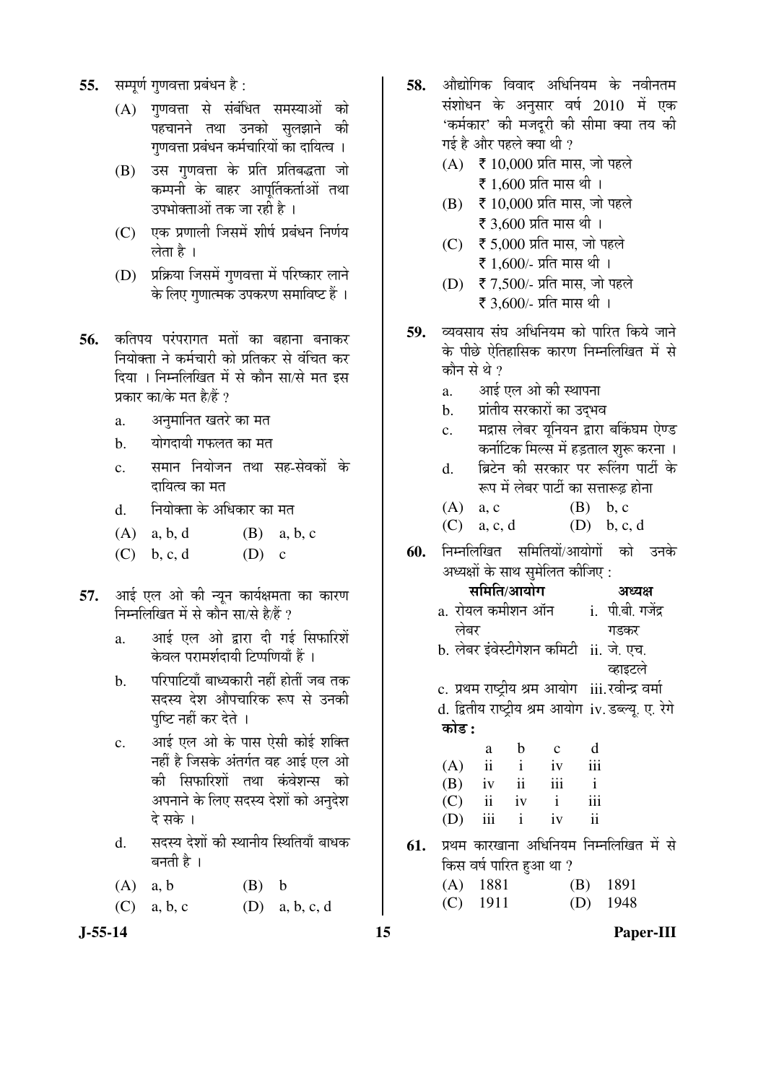- 55. सम्पूर्ण गुणवत्ता प्रबंधन है:
	- $(A)$  गणवत्ता से संबंधित समस्याओं को पहचानने तथा उनको सुलझाने की गुणवत्ता प्रबंधन कर्मचारियों का दायित्व ।
	- (B) उस गणवत्ता के प्रति प्रतिबद्धता जो कम्पनी के बाहर आपर्तिकर्ताओं तथा उपभोक्ताओं तक जा रही है ।
	- $(C)$  एक प्रणाली जिसमें शीर्ष प्रबंधन निर्णय लेता है ।
	- (D) प्रक्रिया जिसमें गणवत्ता में परिष्कार लाने के लिए गुणात्मक उपकरण समाविष्ट हैं ।
- **56.** कतिपय परंपरागत मतों का बहाना बनाकर <u>नियोक्ता ने कर्मचारी को प्रतिकर से वंचित कर</u> दिया । निम्नलिखित में से कौन सा/से मत इस प्रकार का/के मत है/हैं ?
	- a. अनुमानित खतरे का मत
	- b. योगदायी गफलत का मत
	- c. समान नियोजन तथा सह-सेवकों के दायित्व का मत
	- d. नियोक्ता के अधिकार का मत
	- $(A)$  a, b, d  $(B)$  a, b, c
	- (C) b, c, d  $(D)$  c
- 57. आई एल ओ की न्यून कार्यक्षमता का कारण निम्नलिखित में से कौन सा/से है/हैं ?
	- a. आई एल ओ द्वारा दी गई सिफारिशें केवल परामर्शदायी टिप्पणियाँ हैं ।
	- b. परिपाटियाँ बाध्यकारी नहीं होतीं जब तक सदस्य देश औपचारिक रूप से उनकी पछि नहीं कर देते ।
	- c. आई एल ओ के पास ऐसी कोई शक्ति नहीं है जिसके अंतर्गत वह आई एल ओ की सिफारिशों तथा कंवेशन्स को अपनाने के लिए सदस्य देशों को अनुदेश दे सके ।
	- d. सदस्य देशों की स्थानीय स्थितियाँ बाधक बनती है ।
	- $(A)$  a, b  $(B)$  b
	- (C) a, b, c (D) a, b, c, d
- **J-55-14 15 Paper-III**
- 58. ओद्योगिक विवाद अधिनियम के नवीनतम संशोधन के अनुसार वर्ष 2010 में एक 'कर्मकार' की मजदुरी की सीमा क्या तय की गई है और पहले क्या थी ?
	- $(A) \quad \xi \, 10,000$  प्रति मास. जो पहले रू 1,600 प्रति मास थी।
	- $(B)$   $\bar{\bar{\xi}}$  10,000 प्रति मास, जो पहले रू 3,600 प्रति मास थी।
	- $(C)$   $\bar{\bar{\zeta}}$  5,000 प्रति मास, जो पहले रू 1,600/- प्रति मास थी।
	- $(D)$   $\bar{\bar{\zeta}}$  7,500/- प्रति मास, जो पहले ₹ 3,600/- प्रति मास थी।
- 59. व्यवसाय संघ अधिनियम को पारित किये जाने के पीछे ऐतिहासिक कारण निम्नलिखित में से कौन से थे  $\overline{v}$ 
	- a. आई एल ओ की स्थापना
	- b. प्रांतीय सरकारों का उदभव
	- c. मद्रास लेबर यनियन द्वारा बकिंघम ऐण्ड ंकर्नाटिक मिल्स में हडताल शरू करना ।
	- d. जिटेन की सरकार पर रूलिंग पार्टी के रूप में लेबर पार्टी का सत्तारूढ़ होना
	- (A) a, c  $(B)$  b, c
	- (C) a, c, d  $(D)$  b, c, d
- **60.** निम्नलिखित समितियों/आयोगों को उनके अध्यक्षों के साथ सुमेलित कीजिए :

| समिति/आयोग                              |              | अध्यक्ष        |
|-----------------------------------------|--------------|----------------|
| a. रोयल कमीशन ऑन                        | $\mathbf{i}$ | पी.बी. गजेंद्र |
| लेबर                                    |              | गडकर           |
| b. लेबर इंवेस्टीगेशन कमिटी ांi. जे. एच. |              |                |
|                                         |              | व्हाइटले       |
|                                         |              |                |

c. प्रथम राष्ट्रीय श्रम आयोग iii.रवीन्द्र वर्मा d. द्वितीय राष्ट्रीय श्रम आयोग iv. डब्ल्यू. ए. रेगे 󜅐ݟ **:** 

|     | a                       | b                   | $\mathbf{c}$     | d            |
|-----|-------------------------|---------------------|------------------|--------------|
| (A) | $\ddot{\mathbf{i}}$     | $\mathbf{i}$        | iv               | iii          |
| (B) | iv                      | $\ddot{\mathbf{i}}$ | $\overline{111}$ | $\mathbf{i}$ |
| (C) | $\overline{\mathbf{u}}$ | iv                  | $\mathbf{i}$     | iii          |
| (D) | iii                     | $\mathbf{i}$        | iv               | ii           |

61. प्रथम कारखाना अधिनियम निम्नलिखित में से किस वर्ष पारित हुआ था ?

| $(A)$ 1881 | $(B)$ 1891 |
|------------|------------|
| $(C)$ 1911 | $(D)$ 1948 |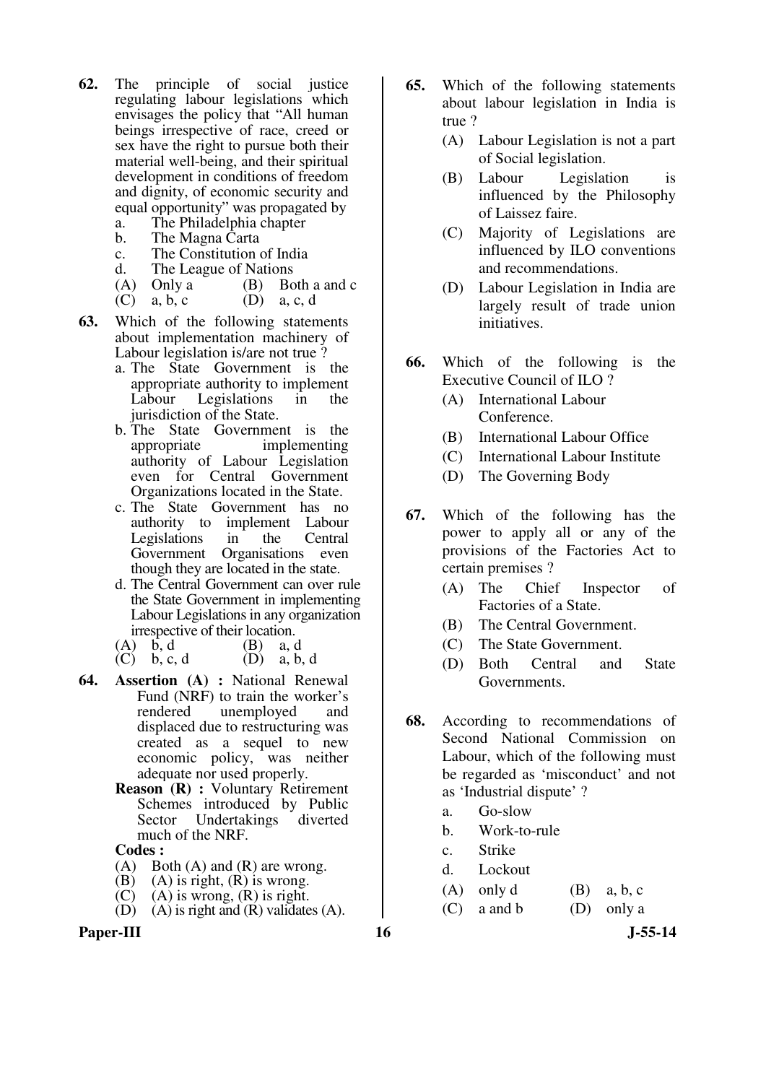- **62.** The principle of social justice regulating labour legislations which envisages the policy that "All human beings irrespective of race, creed or sex have the right to pursue both their material well-being, and their spiritual development in conditions of freedom and dignity, of economic security and equal opportunity" was propagated by
	- a. The Philadelphia chapter<br>b. The Magna Carta
	- b. The Magna Carta<br>c. The Constitution
	- c. The Constitution of India
	- The League of Nations
	- (A) Only a (B) Both a and c<br>(C) a, b, c (D) a, c, d
	- $(D)$  a, c, d
- **63.** Which of the following statements about implementation machinery of Labour legislation is/are not true ?
	- a. The State Government is the appropriate authority to implement Labour Legislations in the jurisdiction of the State.
	- b. The State Government is the appropriate implementing authority of Labour Legislation even for Central Government Organizations located in the State.
	- c. The State Government has no authority to implement Labour Legislations in the Central Government Organisations even though they are located in the state.
	- d. The Central Government can over rule the State Government in implementing Labour Legislations in any organization irrespective of their location.
	- (A)  $b, d$  (B)  $a, d$
	- (C) b, c, d  $(D)$  a, b, d
- **64. Assertion (A) :** National Renewal Fund (NRF) to train the worker's rendered unemployed and displaced due to restructuring was created as a sequel to new economic policy, was neither adequate nor used properly.
	- **Reason (R) :** Voluntary Retirement Schemes introduced by Public Sector Undertakings diverted much of the NRF.

- $(A)$  Both  $(A)$  and  $(R)$  are wrong.
- (B) (A) is right,  $(R)$  is wrong.<br>(C) (A) is wrong,  $(R)$  is right.
- $(A)$  is wrong,  $(R)$  is right.
- $(D)$   $(A)$  is right and  $(R)$  validates  $(A)$ .
- 
- **65.** Which of the following statements about labour legislation in India is true ?
	- (A) Labour Legislation is not a part of Social legislation.
	- (B) Labour Legislation is influenced by the Philosophy of Laissez faire.
	- (C) Majority of Legislations are influenced by ILO conventions and recommendations.
	- (D) Labour Legislation in India are largely result of trade union initiatives.
- **66.** Which of the following is the Executive Council of ILO ?
	- (A) International Labour Conference.
	- (B) International Labour Office
	- (C) International Labour Institute
	- (D) The Governing Body
- **67.** Which of the following has the power to apply all or any of the provisions of the Factories Act to certain premises ?
	- (A) The Chief Inspector of Factories of a State.
	- (B) The Central Government.
	- (C) The State Government.
	- (D) Both Central and State Governments.
- **68.** According to recommendations of Second National Commission on Labour, which of the following must be regarded as 'misconduct' and not as 'Industrial dispute' ?
	- a. Go-slow
	- b. Work-to-rule
	- c. Strike
	- d. Lockout
	- (A) only d  $(B)$  a, b, c
	- $(C)$  a and b  $(D)$  only a

- Paper-III **16** J-55-14
	-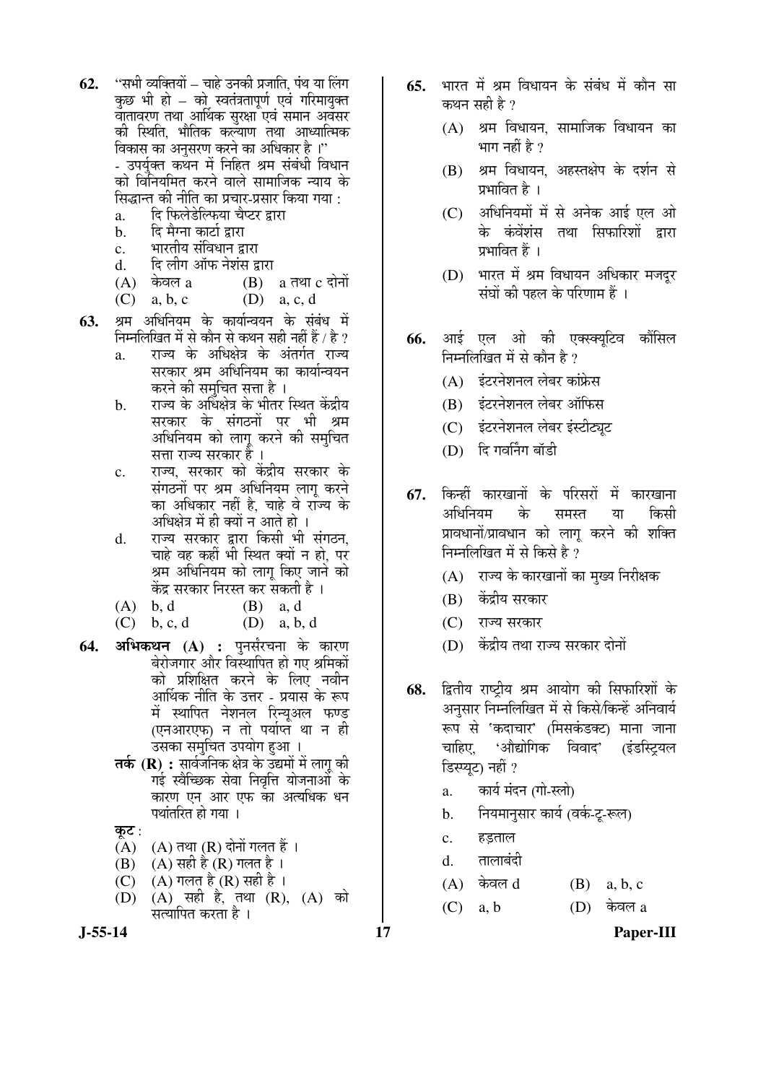- **62.** "सभी व्यक्तियों चाहे उनकी प्रजाति, पंथ या लिंग कछ भी हो – को स्वतंत्रतापूर्ण एवं गरिमायुक्त वातावरण तथा आर्थिक सरक्षा एवं समान अवसर की स्थिति, भौतिक कल्याण तथा आध्यात्मिक विकास का अनसरण करने का अधिकार है ।'' - उपर्यक्त कथन में निहित श्रम संबंधी विधान को विनियमित करने वाले सामाजिक न्याय के
	- <u>सिद्धान्त की नीति का प्रचार-प्रसार किया गया :</u>
	- a. दि फिलेडेल्फिया चैप्टर द्वारा<br>b. दि मैग्ना कार्टा द्वारा
	- दि मैग्ना कार्टा द्रारा c. भारतीय संविधान द्वारा
	-
	- d. दि लीग ऑफ नेशंस द्वारा<br>(A) केवल a (B)  $(A)$  केवल a  $(B)$  a तथा c दोनों

(C) a, b, c  $(D)$  a, c, d

- 63. श्रम अधिनियम के कार्यान्वयन के संबंध में निम्नलिखित में से कौन से कथन सही नहीं हैं / है ?
	- a. राज्य के अधिक्षेत्र के अंतर्गत राज्य सरकार श्रम अधिनियम का कार्यान्वयन करने की समचित सत्ता है ।
	- b. राज्य के अधिक्षेत्र के भीतर स्थित केंद्रीय सरकार के संगठनों पर भी श्रम अधिनियम को लाग करने की समुचित सत्ता राज्य सरकार है ।
	- c. राज्य. सरकार को केंद्रीय सरकार के संगठनों पर श्रम अधिनियम लाग करने का अधिकार नहीं है, चाहे वे राज्य के अधिक्षेत्र में ही क्यों न आते हो ।
	- d. राज्य सरकार द्वारा किसी भी संगठन. चाहे वह कहीं भी स्थित क्यों न हो. पर श्रम अधिनियम को लागू किए जाने को केंद्र सरकार निरस्त कर सकती है ।
	- $(A)$  b, d  $(B)$  a, d
	- (C) b, c, d (D) a, b, d
- 64. अभिकथन (A) : पुनर्संरचना के कारण बेरोजगार और विस्थापित हो गए श्रमिकों को प्रशिक्षित करने के लिए नवीन आर्थिक नीति के उत्तर - प्रयास के रूप में स्थापित नेशनल रिन्यअल फण्ड (एनआरएफ) न तो पर्याप्त था न ह<u>ी</u> उसका समचित उपयोग हुआ ।
	- **तर्क (R) :** सार्वजनिक क्षेत्र के उद्यमों में लागू की गई स्वैच्छिक सेवा निवृत्ति योजनाओं के कारण एन आर एफ का अत्यधिक धन पथांतरित हो गया ।
	- कूट :<br>(A)
	- $(A)$  (A) तथा (R) दोनों गलत हैं ।<br>(B) (A) सही है (R) गलत है ।
	- (A) सही है (R) गलत है ।
	- $(C)$  (A) गलत है (R) सही है। (D) (A) सही है, तथा (R), (A) को सत्यापित करता है ।
- **65.** भारत में श्रम विधायन के संबंध में कौन सा कथन सही है $\overline{?}$ 
	- $(A)$  श्रम विधायन, सामाजिक विधायन का भाग नहीं है ?
	- (B) श्रम विधायन, अहस्तक्षेप के दर्शन से प्रभावित है ।
	- $(C)$  अधिनियमों में से अनेक आई एल ओ के कंवेंशंस तथा सिफारिशों द्रारा प्रभावित हैं ।
	- (D) भारत में श्रम विधायन अधिकार मजदर संघों की पहल के परिणाम हैं ।
- **66.** आई एल ओ की एक्स्क्यूटिव कौंसिल निम्नलिखित में से कौन है ?
	- (A) इंटरनेशनल लेबर कांफ्रेस
	- (B) इंटरनेशनल लेबर ऑफिस
	- (C) इंटरनेशनल लेबर इंस्टीट्यूट
	- (D) दि गवर्निंग बॉडी
- 67. किन्हीं कारखानों के परिसरों में कारखाना अधिनियम के समस्त या किसी प्रावधानों/प्रावधान को लागू करने की शक्ति निम्नलिखित में से किसे है*?* 
	- $(A)$  राज्य के कारखानों का मुख्य निरीक्षक
	- (B) केंद्रीय सरकार
	- (C) राज्य सरकार
	- (D) केंद्रीय तथा राज्य सरकार दोनों
- 68. *द्वितीय राष्ट्रीय श्रम आयोग की सिफारिशों के* अनुसार निम्नलिखित में से किसे/किन्हें अनिवार्य रूप से 'कदाचार' (मिसकंडक्ट) माना जाना चाहिए, 'औद्योगिक विवाद' (इंडस्ट्रियल डिस्प्युट) नहीं ?
	- a. कार्य मंदन (गो-स्लो)
	- b. नियमानुसार कार्य (वर्क-टू-रूल)
	- c. हड़ताल
	- d. तालाबंदी
	- $(A)$  केवल  $d$   $(B)$  a, b, c
	- $(C)$  a, b  $(D)$  केवल a

**J-55-14 17 Paper-III**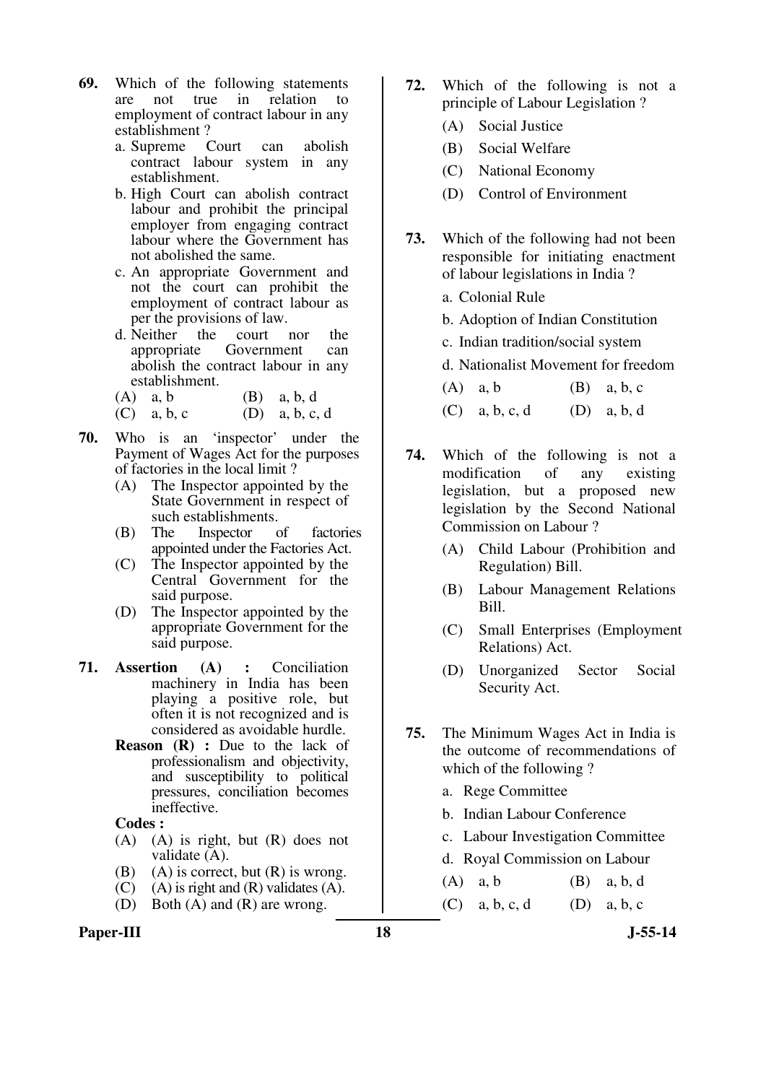- **69.** Which of the following statements are not true in relation to employment of contract labour in any establishment ?
	- a. Supreme Court can abolish contract labour system in any establishment.
	- b. High Court can abolish contract labour and prohibit the principal employer from engaging contract labour where the Government has not abolished the same.
	- c. An appropriate Government and not the court can prohibit the employment of contract labour as per the provisions of law.
	- d. Neither the court nor the appropriate Government can abolish the contract labour in any establishment.
	- (A)  $a, b$  (B)  $a, b, d$ (C) a, b, c (D) a, b, c, d
- **70.** Who is an 'inspector' under the Payment of Wages Act for the purposes of factories in the local limit ?
	- (A) The Inspector appointed by the State Government in respect of such establishments.
	- (B) The Inspector of factories appointed under the Factories Act.
	- (C) The Inspector appointed by the Central Government for the said purpose.
	- (D) The Inspector appointed by the appropriate Government for the said purpose.
- **71. Assertion (A) :** Conciliation machinery in India has been playing a positive role, but often it is not recognized and is considered as avoidable hurdle.
	- **Reason (R) :** Due to the lack of professionalism and objectivity, and susceptibility to political pressures, conciliation becomes ineffective.

- (A) (A) is right, but (R) does not validate (A).
- (B) (A) is correct, but  $(R)$  is wrong.
- $(C)$  (A) is right and  $(R)$  validates  $(A)$ .
- (D) Both (A) and (R) are wrong.
- Paper-III **18** J-55-14
- **72.** Which of the following is not a principle of Labour Legislation ?
	- (A) Social Justice
	- (B) Social Welfare
	- (C) National Economy
	- (D) Control of Environment
- **73.** Which of the following had not been responsible for initiating enactment of labour legislations in India ?
	- a. Colonial Rule
	- b. Adoption of Indian Constitution
	- c. Indian tradition/social system
	- d. Nationalist Movement for freedom
	- (A) a, b  $(B)$  a, b, c (C) a, b, c, d (D) a, b, d
- **74.** Which of the following is not a modification of any existing legislation, but a proposed new legislation by the Second National Commission on Labour ?
	- (A) Child Labour (Prohibition and Regulation) Bill.
	- (B) Labour Management Relations Bill.
	- (C) Small Enterprises (Employment Relations) Act.
	- (D) Unorganized Sector Social Security Act.
- **75.** The Minimum Wages Act in India is the outcome of recommendations of which of the following ?
	- a. Rege Committee
	- b. Indian Labour Conference
	- c. Labour Investigation Committee
	- d. Royal Commission on Labour
	- (A)  $a, b$  (B)  $a, b, d$
	- (C) a, b, c, d (D) a, b, c
		-
-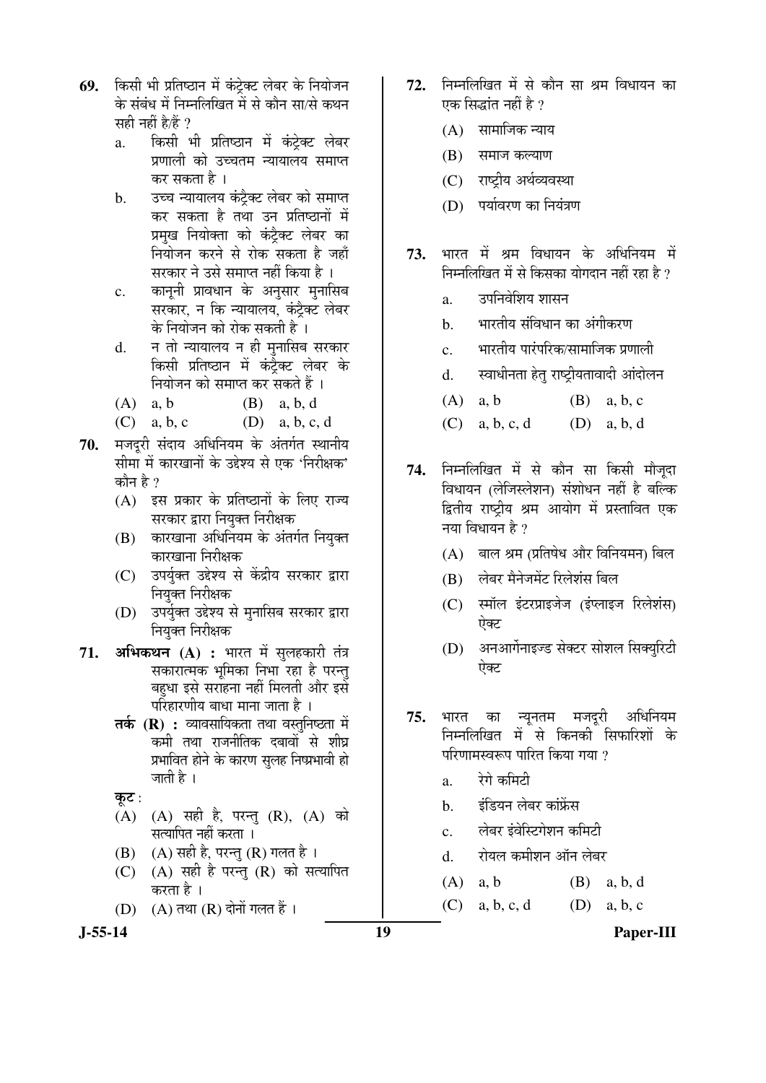- **69.** किसी भी प्रतिष्ठान में कंट्रेक्ट लेबर के नियोजन के संबंध में निम्नलिखित में से कौन सा/से कथन सही नहीं है/हैं ?
	- a. किसी भी प्रतिष्ठान में कंट्रेक्ट लेबर प्रणाली को उच्चतम न्यायालय समाप्त कर सकता है ।
	- b. उच्च न्यायालय कंट्रैक्ट लेबर को समाप्त कर सकता है तथा उन प्रतिष्ठानों में प्रमुख नियोक्ता को कंट्रैक्ट लेबर का नियोजन करने से रोक सकता है जहाँ सरकार ने उसे समाप्त नहीं किया है ।
	- c. कानूनी प्रावधान के अनुसार मुनासिब सरकार, न कि न्यायालय, कंटैक्ट लेबर के नियोजन को रोक सकती है ।
	- d. न तो न्यायालय न ही मुनासिब सरकार किसी प्रतिष्ठान में कंट्रैक्ट लेबर के <u>नियोजन को समाप्त कर सकते हैं ।</u>
	- (A)  $a, b$  (B)  $a, b, d$
	- (C) a, b, c (D) a, b, c, d
- 70. **मजदरी संदाय अधिनियम के अंतर्गत स्थानीय** सीमा में कारखानों के उद्देश्य से एक 'निरीक्षक' कोन हे  $\eta$ 
	- (A) इस प्रकार के प्रतिष्ठानों के लिए राज्य सरकार द्वारा नियुक्त निरीक्षक
	- (B) कारखाना अधिनियम के अंतर्गत नियुक्त कारखाना निरीक्षक
	- (C) उपर्युक्त उद्देश्य से केंद्रीय सरकार द्वारा नियुक्त निरीक्षक
	- (D) उपर्युक्त उद्देश्य से मनासिब सरकार द्वारा नियुक्त निरीक्षक
- **71. अभिकथन (A) :** भारत में सुलहकारी तंत्र सकारात्मक भूमिका निभा रहा है परन्तु बहधा इसे सराहना नहीं मिलती और इसे परिहारणीय बाधा माना जाता है ।
	- **तर्क (R) :** व्यावसायिकता तथा वस्तुनिष्ठता में कमी तथा राजनीतिक दबावों से शीघ्र प्रभावित होने के कारण सुलह निष्प्रभावी हो जाती है ।
	- कूट:
	- (A) (A) सही है, परन्तु (R), (A) को सत्यापित नहीं करता ।
	- $(B)$   $(A)$  सही है, परन्तु  $(R)$  गलत है।
	- $(C)$   $(A)$  सही है परन्तु  $(R)$  को सत्यापित करता है ।
	- $(D)$   $(A)$  तथा  $(R)$  दोनों गलत हैं।
- 72. निम्नलिखित में से कौन सा श्रम विधायन का एक सिद्धांत नहीं है ?
	- $(A)$  सामाजिक न्याय
	- (B) समाज कल्याण
	- (C) राष्ट्रीय अर्थव्यवस्था
	- (D) पर्यावरण का नियंत्रण
- 73. भारत में श्रम विधायन के अधिनियम में निम्नलिखित में से किसका योगदान नहीं रहा है ?
	- a. उपनिवेशिय शासन
	- b. भारतीय संविधान का अंगीकरण
	- $c_{\rm i}$  भारतीय पारंपरिक/सामाजिक प्रणाली
	- d. स्वाधीनता हेतु राष्ट्रीयतावादी आंदोलन
	- (A) a, b (B) a, b, c
	- (C) a, b, c, d (D) a, b, d
- 74. निम्नलिखित में से कौन सा किसी मौजूदा विधायन (लेजिस्लेशन) संशोधन नहीं है बल्कि द्वितीय राष्ट्रीय श्रम आयोग में प्रस्तावित एक नया विधायन है ?
	- $(A)$  बाल श्रम (प्रतिषेध और विनियमन) बिल
	- (B) लेबर मैनेजमेंट रिलेशंस बिल
	- (C) स्मॉल इंटरप्राइजेज (इंप्लाइज रिलेशंस) ऐक्ट
	- (D) अनआर्गेनाइज्ड सेक्टर सोशल सिक्युरिटी ऐक्ट
- <mark>75.</mark> भारत का न्यूनतम मजदूरी अधिनियम निम्नलिखित में से किनकी सिफारिशों के परिणामस्वरूप पारित किया गया ?
	- a. रेगे कमिटी
	- b. इंडियन लेबर कांफ्रेंस
	- $c_{\rm i}$  लेबर इंवेस्टिगेशन कमिटी
	- d. रोयल कमीशन ऑन लेबर
	- (A)  $a, b$  (B)  $a, b, d$
	- (C) a, b, c, d (D) a, b, c

**J-55-14 19 Paper-III**